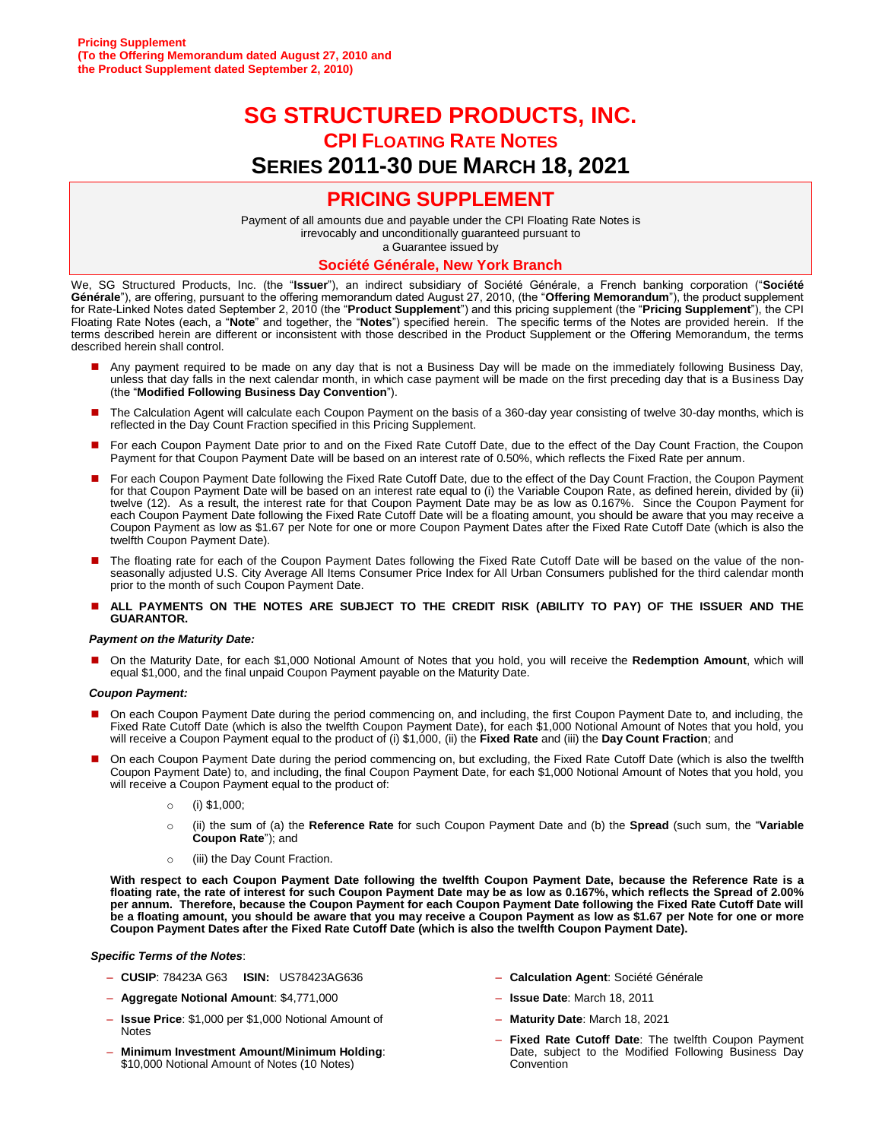# **SG STRUCTURED PRODUCTS, INC. CPI FLOATING RATE NOTES SERIES 2011-30 DUE MARCH 18, 2021**

# **PRICING SUPPLEMENT**

Payment of all amounts due and payable under the CPI Floating Rate Notes is irrevocably and unconditionally guaranteed pursuant to

a Guarantee issued by

#### **Société Générale, New York Branch**

We, SG Structured Products, Inc. (the "**Issuer**"), an indirect subsidiary of Société Générale, a French banking corporation ("**Société Générale**"), are offering, pursuant to the offering memorandum dated August 27, 2010, (the "**Offering Memorandum**"), the product supplement for Rate-Linked Notes dated September 2, 2010 (the "**Product Supplement**") and this pricing supplement (the "**Pricing Supplement**"), the CPI Floating Rate Notes (each, a "**Note**" and together, the "**Notes**") specified herein. The specific terms of the Notes are provided herein. If the terms described herein are different or inconsistent with those described in the Product Supplement or the Offering Memorandum, the terms described herein shall control.

- Any payment required to be made on any day that is not a Business Day will be made on the immediately following Business Day, unless that day falls in the next calendar month, in which case payment will be made on the first preceding day that is a Business Day (the "**Modified Following Business Day Convention**").
- The Calculation Agent will calculate each Coupon Payment on the basis of a 360-day year consisting of twelve 30-day months, which is reflected in the Day Count Fraction specified in this Pricing Supplement.
- For each Coupon Payment Date prior to and on the Fixed Rate Cutoff Date, due to the effect of the Day Count Fraction, the Coupon Payment for that Coupon Payment Date will be based on an interest rate of 0.50%, which reflects the Fixed Rate per annum.
- For each Coupon Payment Date following the Fixed Rate Cutoff Date, due to the effect of the Day Count Fraction, the Coupon Payment for that Coupon Payment Date will be based on an interest rate equal to (i) the Variable Coupon Rate, as defined herein, divided by (ii) twelve (12). As a result, the interest rate for that Coupon Payment Date may be as low as 0.167%. Since the Coupon Payment for each Coupon Payment Date following the Fixed Rate Cutoff Date will be a floating amount, you should be aware that you may receive a Coupon Payment as low as \$1.67 per Note for one or more Coupon Payment Dates after the Fixed Rate Cutoff Date (which is also the twelfth Coupon Payment Date).
- The floating rate for each of the Coupon Payment Dates following the Fixed Rate Cutoff Date will be based on the value of the nonseasonally adjusted U.S. City Average All Items Consumer Price Index for All Urban Consumers published for the third calendar month prior to the month of such Coupon Payment Date.
- **ALL PAYMENTS ON THE NOTES ARE SUBJECT TO THE CREDIT RISK (ABILITY TO PAY) OF THE ISSUER AND THE GUARANTOR.**

#### *Payment on the Maturity Date:*

 On the Maturity Date, for each \$1,000 Notional Amount of Notes that you hold, you will receive the **Redemption Amount**, which will equal \$1,000, and the final unpaid Coupon Payment payable on the Maturity Date.

#### *Coupon Payment:*

- On each Coupon Payment Date during the period commencing on, and including, the first Coupon Payment Date to, and including, the Fixed Rate Cutoff Date (which is also the twelfth Coupon Payment Date), for each \$1,000 Notional Amount of Notes that you hold, you will receive a Coupon Payment equal to the product of (i) \$1,000, (ii) the **Fixed Rate** and (iii) the **Day Count Fraction**; and
- On each Coupon Payment Date during the period commencing on, but excluding, the Fixed Rate Cutoff Date (which is also the twelfth Coupon Payment Date) to, and including, the final Coupon Payment Date, for each \$1,000 Notional Amount of Notes that you hold, you will receive a Coupon Payment equal to the product of:
	- o (i) \$1,000;
	- o (ii) the sum of (a) the **Reference Rate** for such Coupon Payment Date and (b) the **Spread** (such sum, the "**Variable Coupon Rate**"); and
	- o (iii) the Day Count Fraction.

**With respect to each Coupon Payment Date following the twelfth Coupon Payment Date, because the Reference Rate is a floating rate, the rate of interest for such Coupon Payment Date may be as low as 0.167%, which reflects the Spread of 2.00% per annum. Therefore, because the Coupon Payment for each Coupon Payment Date following the Fixed Rate Cutoff Date will be a floating amount, you should be aware that you may receive a Coupon Payment as low as \$1.67 per Note for one or more Coupon Payment Dates after the Fixed Rate Cutoff Date (which is also the twelfth Coupon Payment Date).**

#### *Specific Terms of the Notes*:

- **CUSIP**: 78423A G63 **ISIN:** US78423AG636
- **Aggregate Notional Amount**: \$4,771,000
- **Issue Price**: \$1,000 per \$1,000 Notional Amount of Notes
- **Minimum Investment Amount/Minimum Holding**: \$10,000 Notional Amount of Notes (10 Notes)
- **Calculation Agent**: Société Générale
- **Issue Date**: March 18, 2011
- **Maturity Date**: March 18, 2021
- **Fixed Rate Cutoff Date**: The twelfth Coupon Payment Date, subject to the Modified Following Business Day **Convention**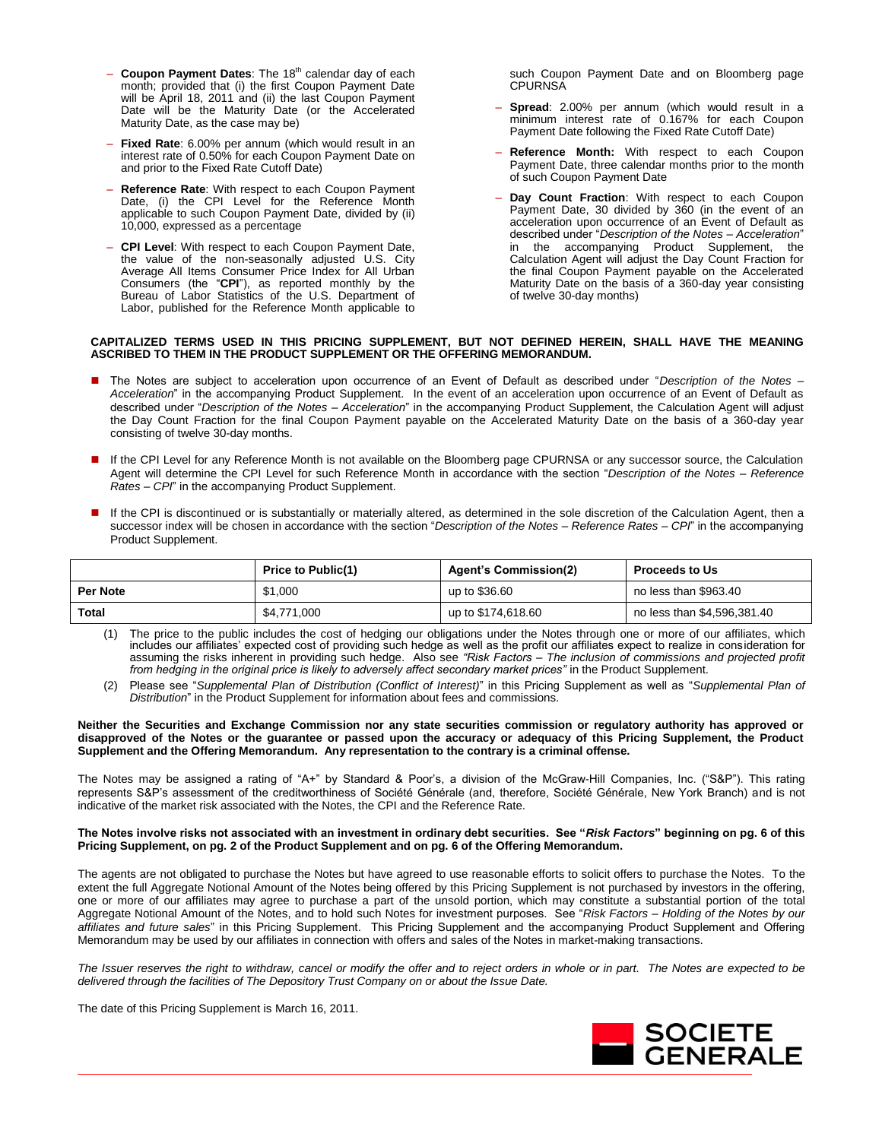- **Coupon Payment Dates**: The 18<sup>th</sup> calendar day of each month; provided that (i) the first Coupon Payment Date will be April 18, 2011 and (ii) the last Coupon Payment Date will be the Maturity Date (or the Accelerated Maturity Date, as the case may be)
- **Fixed Rate**: 6.00% per annum (which would result in an interest rate of 0.50% for each Coupon Payment Date on and prior to the Fixed Rate Cutoff Date)
- **Reference Rate**: With respect to each Coupon Payment Date, (i) the CPI Level for the Reference Month applicable to such Coupon Payment Date, divided by (ii) 10,000, expressed as a percentage
- **CPI Level**: With respect to each Coupon Payment Date, the value of the non-seasonally adjusted U.S. City Average All Items Consumer Price Index for All Urban Consumers (the "**CPI**"), as reported monthly by the Bureau of Labor Statistics of the U.S. Department of Labor, published for the Reference Month applicable to

such Coupon Payment Date and on Bloomberg page **CPURNSA** 

- **Spread**: 2.00% per annum (which would result in a minimum interest rate of 0.167% for each Coupon Payment Date following the Fixed Rate Cutoff Date)
- **Reference Month:** With respect to each Coupon Payment Date, three calendar months prior to the month of such Coupon Payment Date
- **Day Count Fraction**: With respect to each Coupon Payment Date, 30 divided by 360 (in the event of an acceleration upon occurrence of an Event of Default as described under "*Description of the Notes – Acceleration*" in the accompanying Product Supplement, the Calculation Agent will adjust the Day Count Fraction for the final Coupon Payment payable on the Accelerated Maturity Date on the basis of a 360-day year consisting of twelve 30-day months)

#### **CAPITALIZED TERMS USED IN THIS PRICING SUPPLEMENT, BUT NOT DEFINED HEREIN, SHALL HAVE THE MEANING ASCRIBED TO THEM IN THE PRODUCT SUPPLEMENT OR THE OFFERING MEMORANDUM.**

- The Notes are subject to acceleration upon occurrence of an Event of Default as described under "*Description of the Notes Acceleration*" in the accompanying Product Supplement. In the event of an acceleration upon occurrence of an Event of Default as described under "*Description of the Notes – Acceleration*" in the accompanying Product Supplement, the Calculation Agent will adjust the Day Count Fraction for the final Coupon Payment payable on the Accelerated Maturity Date on the basis of a 360-day year consisting of twelve 30-day months.
- If the CPI Level for any Reference Month is not available on the Bloomberg page CPURNSA or any successor source, the Calculation Agent will determine the CPI Level for such Reference Month in accordance with the section "*Description of the Notes – Reference Rates – CPI*" in the accompanying Product Supplement.
- If the CPI is discontinued or is substantially or materially altered, as determined in the sole discretion of the Calculation Agent, then a successor index will be chosen in accordance with the section "*Description of the Notes – Reference Rates – CPI*" in the accompanying Product Supplement.

|                 | <b>Price to Public(1)</b> | <b>Agent's Commission(2)</b> | <b>Proceeds to Us</b>       |
|-----------------|---------------------------|------------------------------|-----------------------------|
| <b>Per Note</b> | \$1,000                   | up to \$36.60                | no less than \$963.40       |
| <b>Total</b>    | \$4.771.000               | up to \$174,618.60           | no less than \$4,596,381.40 |

- (1) The price to the public includes the cost of hedging our obligations under the Notes through one or more of our affiliates, which includes our affiliates' expected cost of providing such hedge as well as the profit our affiliates expect to realize in consideration for assuming the risks inherent in providing such hedge. Also see "Risk Factors – The inclusion of commissions and projected profit *from hedging in the original price is likely to adversely affect secondary market prices"* in the Product Supplement.
- (2) Please see "*Supplemental Plan of Distribution (Conflict of Interest)*" in this Pricing Supplement as well as "*Supplemental Plan of Distribution*" in the Product Supplement for information about fees and commissions.

#### **Neither the Securities and Exchange Commission nor any state securities commission or regulatory authority has approved or disapproved of the Notes or the guarantee or passed upon the accuracy or adequacy of this Pricing Supplement, the Product Supplement and the Offering Memorandum. Any representation to the contrary is a criminal offense.**

The Notes may be assigned a rating of "A+" by Standard & Poor's, a division of the McGraw-Hill Companies, Inc. ("S&P"). This rating represents S&P's assessment of the creditworthiness of Société Générale (and, therefore, Société Générale, New York Branch) and is not indicative of the market risk associated with the Notes, the CPI and the Reference Rate.

#### **The Notes involve risks not associated with an investment in ordinary debt securities. See "***Risk Factors***" beginning on pg. 6 of this Pricing Supplement, on pg. 2 of the Product Supplement and on pg. 6 of the Offering Memorandum.**

The agents are not obligated to purchase the Notes but have agreed to use reasonable efforts to solicit offers to purchase the Notes. To the extent the full Aggregate Notional Amount of the Notes being offered by this Pricing Supplement is not purchased by investors in the offering, one or more of our affiliates may agree to purchase a part of the unsold portion, which may constitute a substantial portion of the total Aggregate Notional Amount of the Notes, and to hold such Notes for investment purposes. See "*Risk Factors – Holding of the Notes by our affiliates and future sales*" in this Pricing Supplement. This Pricing Supplement and the accompanying Product Supplement and Offering Memorandum may be used by our affiliates in connection with offers and sales of the Notes in market-making transactions.

*The Issuer reserves the right to withdraw, cancel or modify the offer and to reject orders in whole or in part. The Notes are expected to be delivered through the facilities of The Depository Trust Company on or about the Issue Date.*

The date of this Pricing Supplement is March 16, 2011.

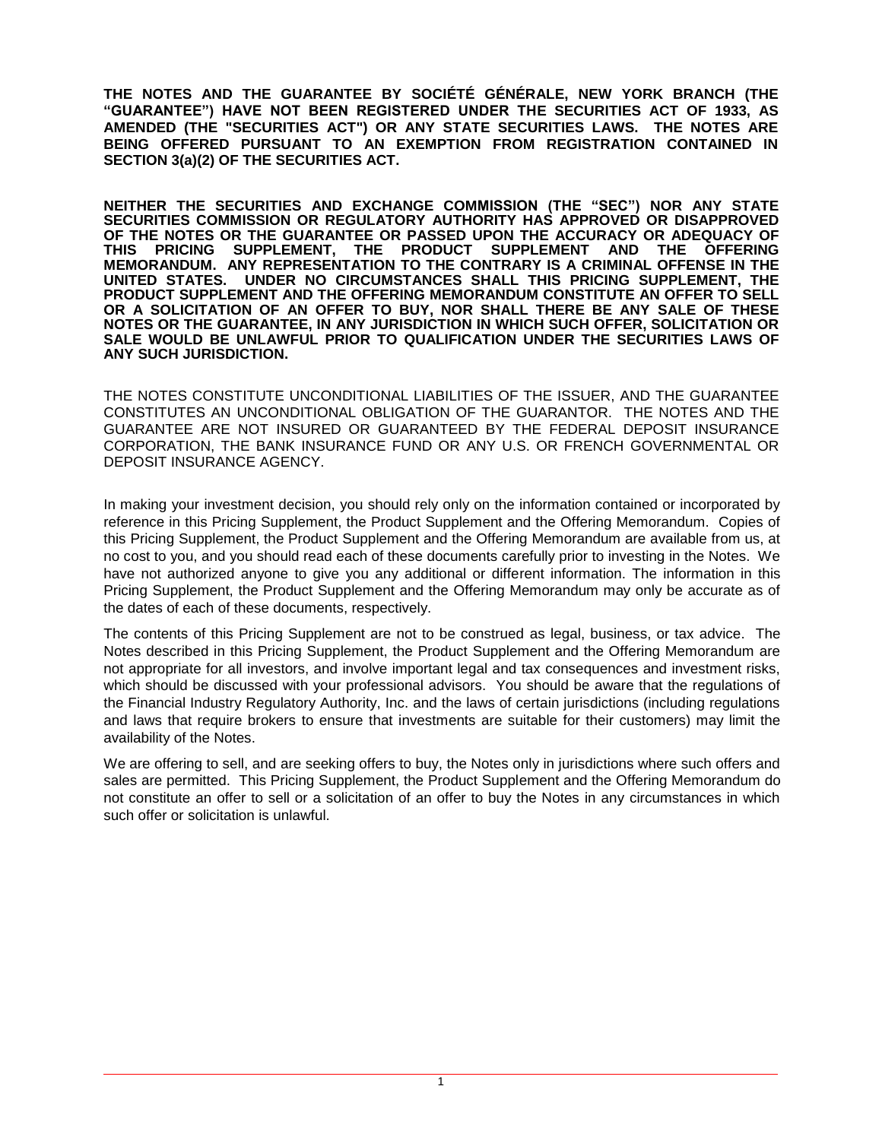**THE NOTES AND THE GUARANTEE BY SOCIÉTÉ GÉNÉRALE, NEW YORK BRANCH (THE "GUARANTEE") HAVE NOT BEEN REGISTERED UNDER THE SECURITIES ACT OF 1933, AS AMENDED (THE "SECURITIES ACT") OR ANY STATE SECURITIES LAWS. THE NOTES ARE BEING OFFERED PURSUANT TO AN EXEMPTION FROM REGISTRATION CONTAINED IN SECTION 3(a)(2) OF THE SECURITIES ACT.** 

**NEITHER THE SECURITIES AND EXCHANGE COMMISSION (THE "SEC") NOR ANY STATE SECURITIES COMMISSION OR REGULATORY AUTHORITY HAS APPROVED OR DISAPPROVED OF THE NOTES OR THE GUARANTEE OR PASSED UPON THE ACCURACY OR ADEQUACY OF THIS PRICING SUPPLEMENT, THE PRODUCT SUPPLEMENT AND THE OFFERING MEMORANDUM. ANY REPRESENTATION TO THE CONTRARY IS A CRIMINAL OFFENSE IN THE UNITED STATES. UNDER NO CIRCUMSTANCES SHALL THIS PRICING SUPPLEMENT, THE PRODUCT SUPPLEMENT AND THE OFFERING MEMORANDUM CONSTITUTE AN OFFER TO SELL OR A SOLICITATION OF AN OFFER TO BUY, NOR SHALL THERE BE ANY SALE OF THESE NOTES OR THE GUARANTEE, IN ANY JURISDICTION IN WHICH SUCH OFFER, SOLICITATION OR SALE WOULD BE UNLAWFUL PRIOR TO QUALIFICATION UNDER THE SECURITIES LAWS OF ANY SUCH JURISDICTION.**

THE NOTES CONSTITUTE UNCONDITIONAL LIABILITIES OF THE ISSUER, AND THE GUARANTEE CONSTITUTES AN UNCONDITIONAL OBLIGATION OF THE GUARANTOR. THE NOTES AND THE GUARANTEE ARE NOT INSURED OR GUARANTEED BY THE FEDERAL DEPOSIT INSURANCE CORPORATION, THE BANK INSURANCE FUND OR ANY U.S. OR FRENCH GOVERNMENTAL OR DEPOSIT INSURANCE AGENCY.

In making your investment decision, you should rely only on the information contained or incorporated by reference in this Pricing Supplement, the Product Supplement and the Offering Memorandum. Copies of this Pricing Supplement, the Product Supplement and the Offering Memorandum are available from us, at no cost to you, and you should read each of these documents carefully prior to investing in the Notes. We have not authorized anyone to give you any additional or different information. The information in this Pricing Supplement, the Product Supplement and the Offering Memorandum may only be accurate as of the dates of each of these documents, respectively.

The contents of this Pricing Supplement are not to be construed as legal, business, or tax advice. The Notes described in this Pricing Supplement, the Product Supplement and the Offering Memorandum are not appropriate for all investors, and involve important legal and tax consequences and investment risks, which should be discussed with your professional advisors. You should be aware that the regulations of the Financial Industry Regulatory Authority, Inc. and the laws of certain jurisdictions (including regulations and laws that require brokers to ensure that investments are suitable for their customers) may limit the availability of the Notes.

We are offering to sell, and are seeking offers to buy, the Notes only in jurisdictions where such offers and sales are permitted. This Pricing Supplement, the Product Supplement and the Offering Memorandum do not constitute an offer to sell or a solicitation of an offer to buy the Notes in any circumstances in which such offer or solicitation is unlawful.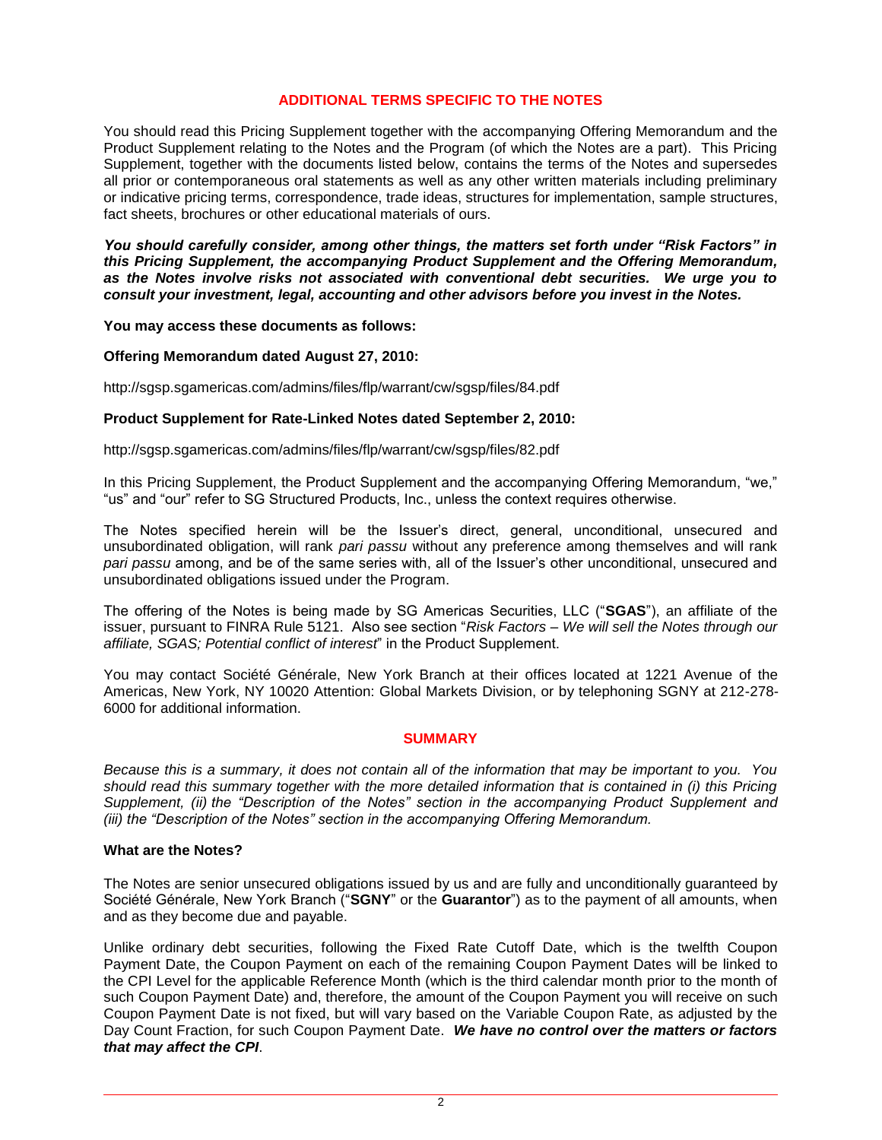# **ADDITIONAL TERMS SPECIFIC TO THE NOTES**

You should read this Pricing Supplement together with the accompanying Offering Memorandum and the Product Supplement relating to the Notes and the Program (of which the Notes are a part). This Pricing Supplement, together with the documents listed below, contains the terms of the Notes and supersedes all prior or contemporaneous oral statements as well as any other written materials including preliminary or indicative pricing terms, correspondence, trade ideas, structures for implementation, sample structures, fact sheets, brochures or other educational materials of ours.

*You should carefully consider, among other things, the matters set forth under "Risk Factors" in this Pricing Supplement, the accompanying Product Supplement and the Offering Memorandum, as the Notes involve risks not associated with conventional debt securities. We urge you to consult your investment, legal, accounting and other advisors before you invest in the Notes.* 

# **You may access these documents as follows:**

# **Offering Memorandum dated August 27, 2010:**

http://sgsp.sgamericas.com/admins/files/flp/warrant/cw/sgsp/files/84.pdf

#### **Product Supplement for Rate-Linked Notes dated September 2, 2010:**

http://sgsp.sgamericas.com/admins/files/flp/warrant/cw/sgsp/files/82.pdf

In this Pricing Supplement, the Product Supplement and the accompanying Offering Memorandum, "we," "us" and "our" refer to SG Structured Products, Inc., unless the context requires otherwise.

The Notes specified herein will be the Issuer's direct, general, unconditional, unsecured and unsubordinated obligation, will rank *pari passu* without any preference among themselves and will rank *pari passu* among, and be of the same series with, all of the Issuer's other unconditional, unsecured and unsubordinated obligations issued under the Program.

The offering of the Notes is being made by SG Americas Securities, LLC ("**SGAS**"), an affiliate of the issuer, pursuant to FINRA Rule 5121. Also see section "*Risk Factors – We will sell the Notes through our affiliate, SGAS; Potential conflict of interest*" in the Product Supplement.

You may contact Société Générale, New York Branch at their offices located at 1221 Avenue of the Americas, New York, NY 10020 Attention: Global Markets Division, or by telephoning SGNY at 212-278- 6000 for additional information.

#### **SUMMARY**

*Because this is a summary, it does not contain all of the information that may be important to you. You should read this summary together with the more detailed information that is contained in (i) this Pricing Supplement, (ii)* the "Description of the Notes" section in the accompanying Product Supplement and *(iii)* the "Description of the Notes" section in the accompanying Offering Memorandum.

#### **What are the Notes?**

The Notes are senior unsecured obligations issued by us and are fully and unconditionally guaranteed by Société Générale, New York Branch ("**SGNY**" or the **Guarantor**") as to the payment of all amounts, when and as they become due and payable.

Unlike ordinary debt securities, following the Fixed Rate Cutoff Date, which is the twelfth Coupon Payment Date, the Coupon Payment on each of the remaining Coupon Payment Dates will be linked to the CPI Level for the applicable Reference Month (which is the third calendar month prior to the month of such Coupon Payment Date) and, therefore, the amount of the Coupon Payment you will receive on such Coupon Payment Date is not fixed, but will vary based on the Variable Coupon Rate, as adjusted by the Day Count Fraction, for such Coupon Payment Date. *We have no control over the matters or factors that may affect the CPI*.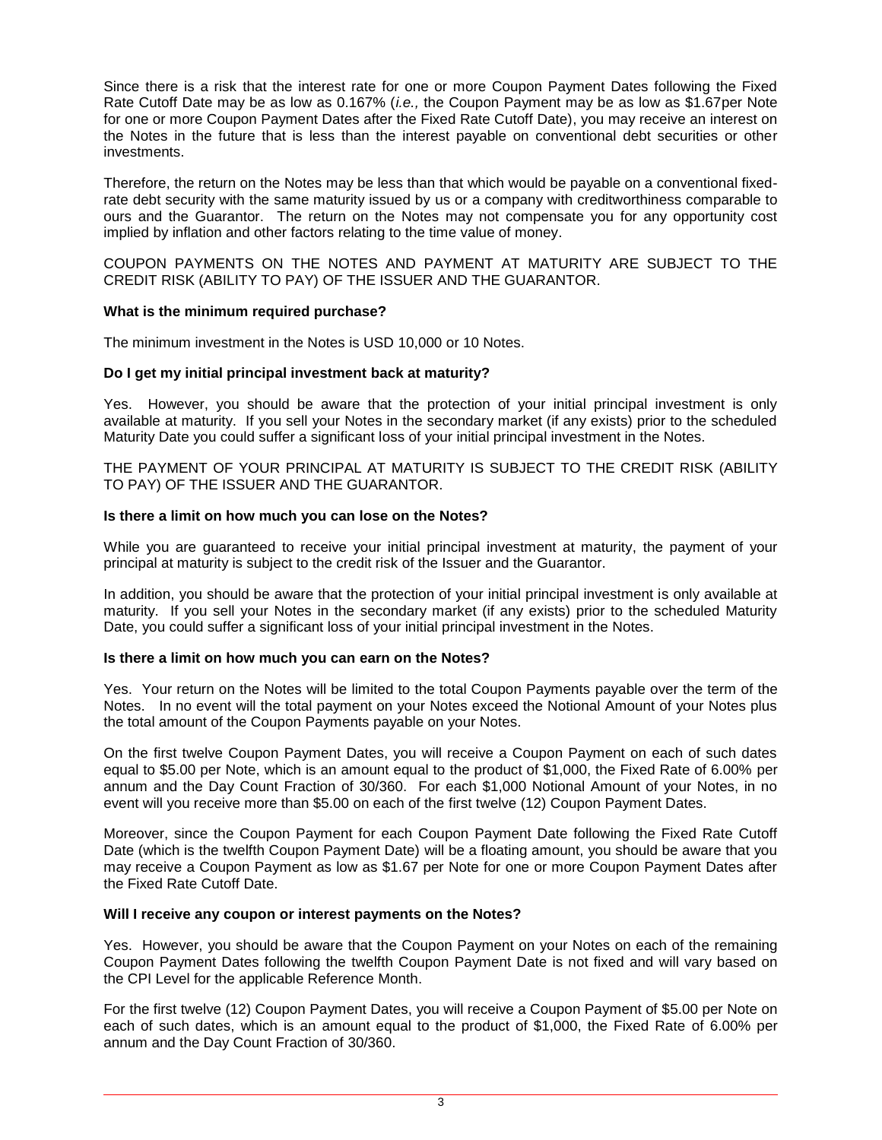Since there is a risk that the interest rate for one or more Coupon Payment Dates following the Fixed Rate Cutoff Date may be as low as 0.167% (*i.e.,* the Coupon Payment may be as low as \$1.67per Note for one or more Coupon Payment Dates after the Fixed Rate Cutoff Date), you may receive an interest on the Notes in the future that is less than the interest payable on conventional debt securities or other investments.

Therefore, the return on the Notes may be less than that which would be payable on a conventional fixedrate debt security with the same maturity issued by us or a company with creditworthiness comparable to ours and the Guarantor. The return on the Notes may not compensate you for any opportunity cost implied by inflation and other factors relating to the time value of money.

COUPON PAYMENTS ON THE NOTES AND PAYMENT AT MATURITY ARE SUBJECT TO THE CREDIT RISK (ABILITY TO PAY) OF THE ISSUER AND THE GUARANTOR.

# **What is the minimum required purchase?**

The minimum investment in the Notes is USD 10,000 or 10 Notes.

# **Do I get my initial principal investment back at maturity?**

Yes. However, you should be aware that the protection of your initial principal investment is only available at maturity. If you sell your Notes in the secondary market (if any exists) prior to the scheduled Maturity Date you could suffer a significant loss of your initial principal investment in the Notes.

THE PAYMENT OF YOUR PRINCIPAL AT MATURITY IS SUBJECT TO THE CREDIT RISK (ABILITY TO PAY) OF THE ISSUER AND THE GUARANTOR.

# **Is there a limit on how much you can lose on the Notes?**

While you are guaranteed to receive your initial principal investment at maturity, the payment of your principal at maturity is subject to the credit risk of the Issuer and the Guarantor.

In addition, you should be aware that the protection of your initial principal investment is only available at maturity. If you sell your Notes in the secondary market (if any exists) prior to the scheduled Maturity Date, you could suffer a significant loss of your initial principal investment in the Notes.

# **Is there a limit on how much you can earn on the Notes?**

Yes. Your return on the Notes will be limited to the total Coupon Payments payable over the term of the Notes. In no event will the total payment on your Notes exceed the Notional Amount of your Notes plus the total amount of the Coupon Payments payable on your Notes.

On the first twelve Coupon Payment Dates, you will receive a Coupon Payment on each of such dates equal to \$5.00 per Note, which is an amount equal to the product of \$1,000, the Fixed Rate of 6.00% per annum and the Day Count Fraction of 30/360. For each \$1,000 Notional Amount of your Notes, in no event will you receive more than \$5.00 on each of the first twelve (12) Coupon Payment Dates.

Moreover, since the Coupon Payment for each Coupon Payment Date following the Fixed Rate Cutoff Date (which is the twelfth Coupon Payment Date) will be a floating amount, you should be aware that you may receive a Coupon Payment as low as \$1.67 per Note for one or more Coupon Payment Dates after the Fixed Rate Cutoff Date.

# **Will I receive any coupon or interest payments on the Notes?**

Yes. However, you should be aware that the Coupon Payment on your Notes on each of the remaining Coupon Payment Dates following the twelfth Coupon Payment Date is not fixed and will vary based on the CPI Level for the applicable Reference Month.

For the first twelve (12) Coupon Payment Dates, you will receive a Coupon Payment of \$5.00 per Note on each of such dates, which is an amount equal to the product of \$1,000, the Fixed Rate of 6.00% per annum and the Day Count Fraction of 30/360.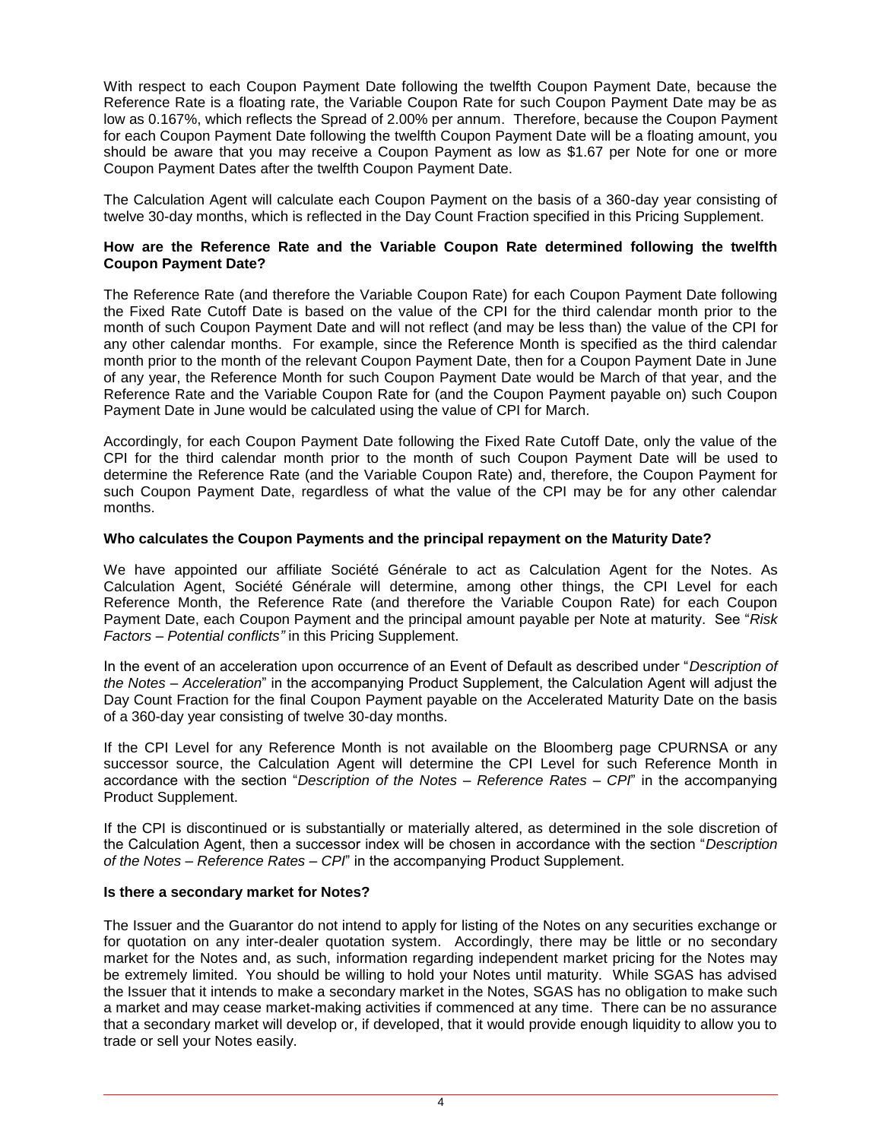With respect to each Coupon Payment Date following the twelfth Coupon Payment Date, because the Reference Rate is a floating rate, the Variable Coupon Rate for such Coupon Payment Date may be as low as 0.167%, which reflects the Spread of 2.00% per annum. Therefore, because the Coupon Payment for each Coupon Payment Date following the twelfth Coupon Payment Date will be a floating amount, you should be aware that you may receive a Coupon Payment as low as \$1.67 per Note for one or more Coupon Payment Dates after the twelfth Coupon Payment Date.

The Calculation Agent will calculate each Coupon Payment on the basis of a 360-day year consisting of twelve 30-day months, which is reflected in the Day Count Fraction specified in this Pricing Supplement.

# **How are the Reference Rate and the Variable Coupon Rate determined following the twelfth Coupon Payment Date?**

The Reference Rate (and therefore the Variable Coupon Rate) for each Coupon Payment Date following the Fixed Rate Cutoff Date is based on the value of the CPI for the third calendar month prior to the month of such Coupon Payment Date and will not reflect (and may be less than) the value of the CPI for any other calendar months. For example, since the Reference Month is specified as the third calendar month prior to the month of the relevant Coupon Payment Date, then for a Coupon Payment Date in June of any year, the Reference Month for such Coupon Payment Date would be March of that year, and the Reference Rate and the Variable Coupon Rate for (and the Coupon Payment payable on) such Coupon Payment Date in June would be calculated using the value of CPI for March.

Accordingly, for each Coupon Payment Date following the Fixed Rate Cutoff Date, only the value of the CPI for the third calendar month prior to the month of such Coupon Payment Date will be used to determine the Reference Rate (and the Variable Coupon Rate) and, therefore, the Coupon Payment for such Coupon Payment Date, regardless of what the value of the CPI may be for any other calendar months.

# **Who calculates the Coupon Payments and the principal repayment on the Maturity Date?**

We have appointed our affiliate Société Générale to act as Calculation Agent for the Notes. As Calculation Agent, Société Générale will determine, among other things, the CPI Level for each Reference Month, the Reference Rate (and therefore the Variable Coupon Rate) for each Coupon Payment Date, each Coupon Payment and the principal amount payable per Note at maturity. See "*Risk Factors – Potential conflicts*" in this Pricing Supplement.

In the event of an acceleration upon occurrence of an Event of Default as described under "*Description of the Notes – Acceleration*" in the accompanying Product Supplement, the Calculation Agent will adjust the Day Count Fraction for the final Coupon Payment payable on the Accelerated Maturity Date on the basis of a 360-day year consisting of twelve 30-day months.

If the CPI Level for any Reference Month is not available on the Bloomberg page CPURNSA or any successor source, the Calculation Agent will determine the CPI Level for such Reference Month in accordance with the section "*Description of the Notes – Reference Rates – CPI*" in the accompanying Product Supplement.

If the CPI is discontinued or is substantially or materially altered, as determined in the sole discretion of the Calculation Agent, then a successor index will be chosen in accordance with the section "*Description of the Notes – Reference Rates – CPI*" in the accompanying Product Supplement.

# **Is there a secondary market for Notes?**

The Issuer and the Guarantor do not intend to apply for listing of the Notes on any securities exchange or for quotation on any inter-dealer quotation system. Accordingly, there may be little or no secondary market for the Notes and, as such, information regarding independent market pricing for the Notes may be extremely limited. You should be willing to hold your Notes until maturity. While SGAS has advised the Issuer that it intends to make a secondary market in the Notes, SGAS has no obligation to make such a market and may cease market-making activities if commenced at any time. There can be no assurance that a secondary market will develop or, if developed, that it would provide enough liquidity to allow you to trade or sell your Notes easily.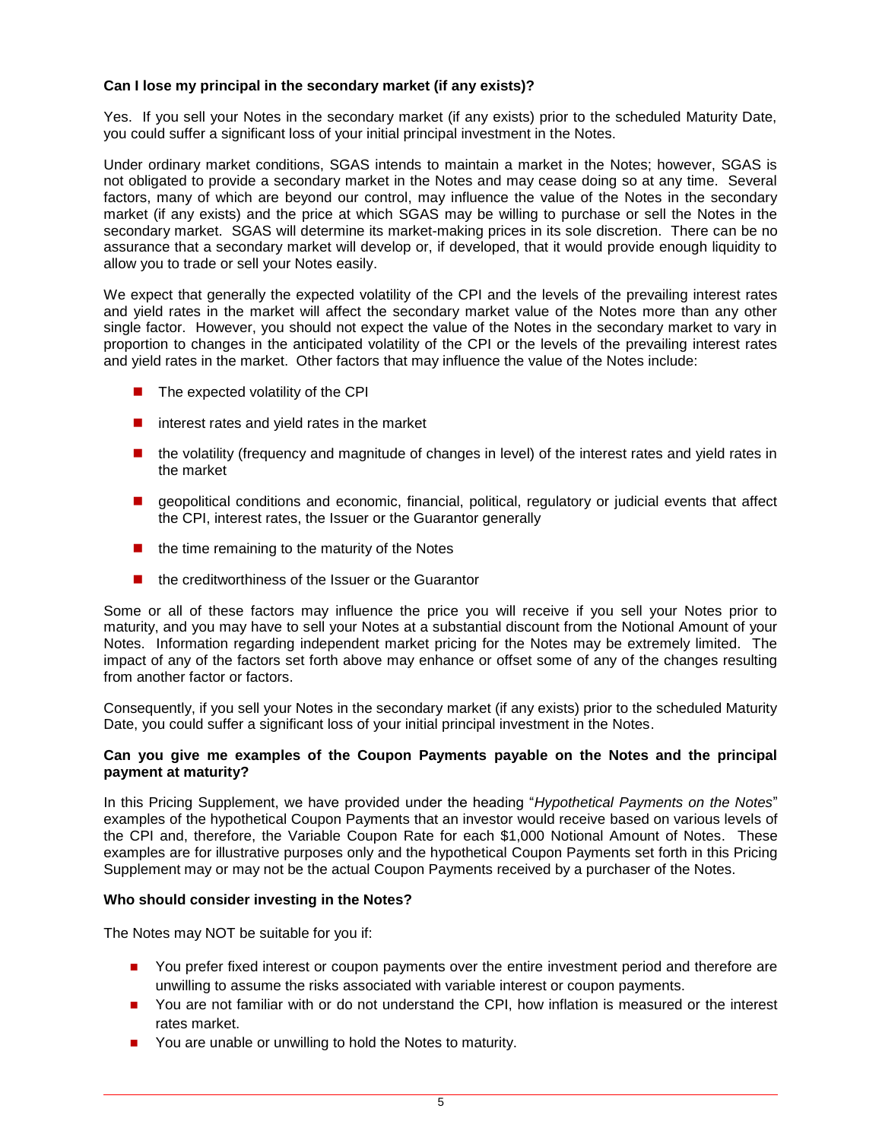# **Can I lose my principal in the secondary market (if any exists)?**

Yes. If you sell your Notes in the secondary market (if any exists) prior to the scheduled Maturity Date, you could suffer a significant loss of your initial principal investment in the Notes.

Under ordinary market conditions, SGAS intends to maintain a market in the Notes; however, SGAS is not obligated to provide a secondary market in the Notes and may cease doing so at any time. Several factors, many of which are beyond our control, may influence the value of the Notes in the secondary market (if any exists) and the price at which SGAS may be willing to purchase or sell the Notes in the secondary market. SGAS will determine its market-making prices in its sole discretion. There can be no assurance that a secondary market will develop or, if developed, that it would provide enough liquidity to allow you to trade or sell your Notes easily.

We expect that generally the expected volatility of the CPI and the levels of the prevailing interest rates and yield rates in the market will affect the secondary market value of the Notes more than any other single factor. However, you should not expect the value of the Notes in the secondary market to vary in proportion to changes in the anticipated volatility of the CPI or the levels of the prevailing interest rates and yield rates in the market. Other factors that may influence the value of the Notes include:

- $\blacksquare$  The expected volatility of the CPI
- $\blacksquare$  interest rates and yield rates in the market
- **number 1** the volatility (frequency and magnitude of changes in level) of the interest rates and yield rates in the market
- **E** geopolitical conditions and economic, financial, political, regulatory or judicial events that affect the CPI, interest rates, the Issuer or the Guarantor generally
- $\blacksquare$  the time remaining to the maturity of the Notes
- $\blacksquare$  the creditworthiness of the Issuer or the Guarantor

Some or all of these factors may influence the price you will receive if you sell your Notes prior to maturity, and you may have to sell your Notes at a substantial discount from the Notional Amount of your Notes. Information regarding independent market pricing for the Notes may be extremely limited. The impact of any of the factors set forth above may enhance or offset some of any of the changes resulting from another factor or factors.

Consequently, if you sell your Notes in the secondary market (if any exists) prior to the scheduled Maturity Date, you could suffer a significant loss of your initial principal investment in the Notes.

# **Can you give me examples of the Coupon Payments payable on the Notes and the principal payment at maturity?**

In this Pricing Supplement, we have provided under the heading "*Hypothetical Payments on the Notes*" examples of the hypothetical Coupon Payments that an investor would receive based on various levels of the CPI and, therefore, the Variable Coupon Rate for each \$1,000 Notional Amount of Notes. These examples are for illustrative purposes only and the hypothetical Coupon Payments set forth in this Pricing Supplement may or may not be the actual Coupon Payments received by a purchaser of the Notes.

# **Who should consider investing in the Notes?**

The Notes may NOT be suitable for you if:

- You prefer fixed interest or coupon payments over the entire investment period and therefore are unwilling to assume the risks associated with variable interest or coupon payments.
- You are not familiar with or do not understand the CPI, how inflation is measured or the interest rates market.
- You are unable or unwilling to hold the Notes to maturity.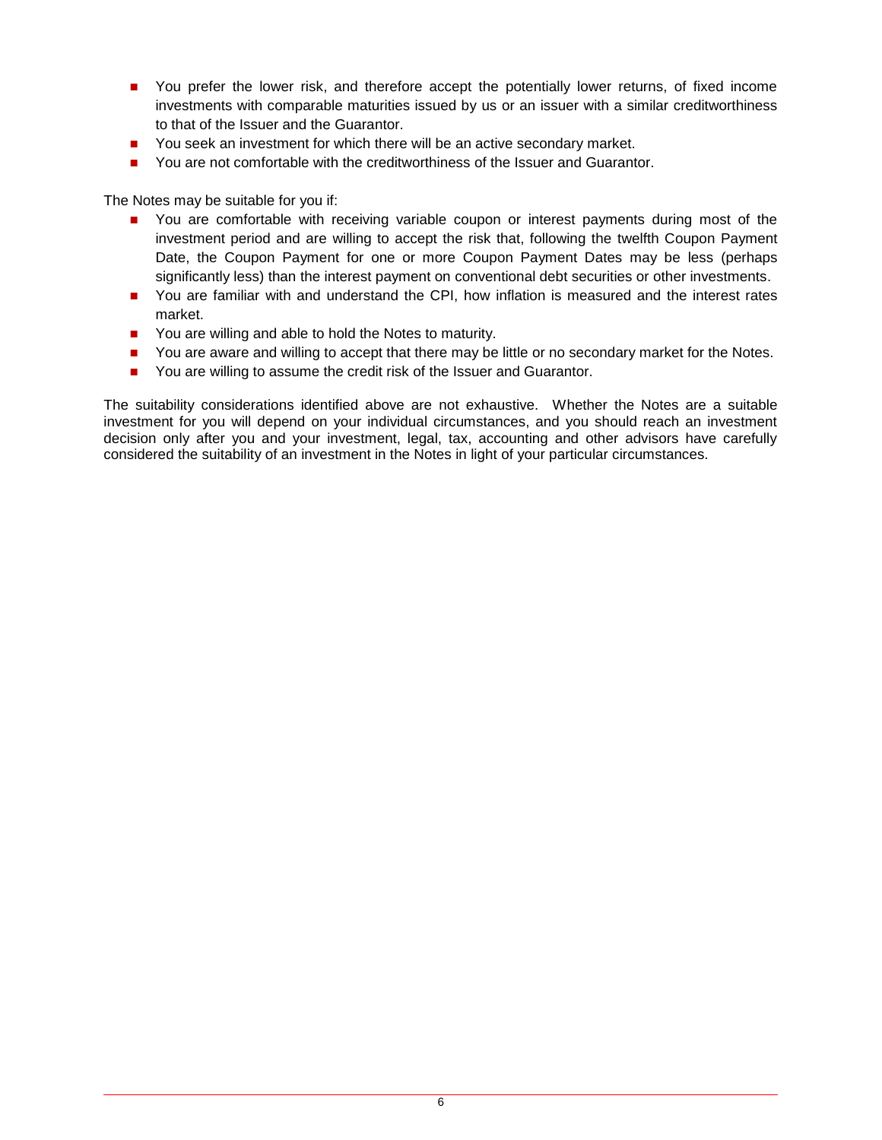- **Deta** You prefer the lower risk, and therefore accept the potentially lower returns, of fixed income investments with comparable maturities issued by us or an issuer with a similar creditworthiness to that of the Issuer and the Guarantor.
- You seek an investment for which there will be an active secondary market.
- **Part 2** You are not comfortable with the creditworthiness of the Issuer and Guarantor.

The Notes may be suitable for you if:

- **Part You are comfortable with receiving variable coupon or interest payments during most of the** investment period and are willing to accept the risk that, following the twelfth Coupon Payment Date, the Coupon Payment for one or more Coupon Payment Dates may be less (perhaps significantly less) than the interest payment on conventional debt securities or other investments.
- **Deta** You are familiar with and understand the CPI, how inflation is measured and the interest rates market.
- You are willing and able to hold the Notes to maturity.
- You are aware and willing to accept that there may be little or no secondary market for the Notes.
- You are willing to assume the credit risk of the Issuer and Guarantor.

The suitability considerations identified above are not exhaustive. Whether the Notes are a suitable investment for you will depend on your individual circumstances, and you should reach an investment decision only after you and your investment, legal, tax, accounting and other advisors have carefully considered the suitability of an investment in the Notes in light of your particular circumstances.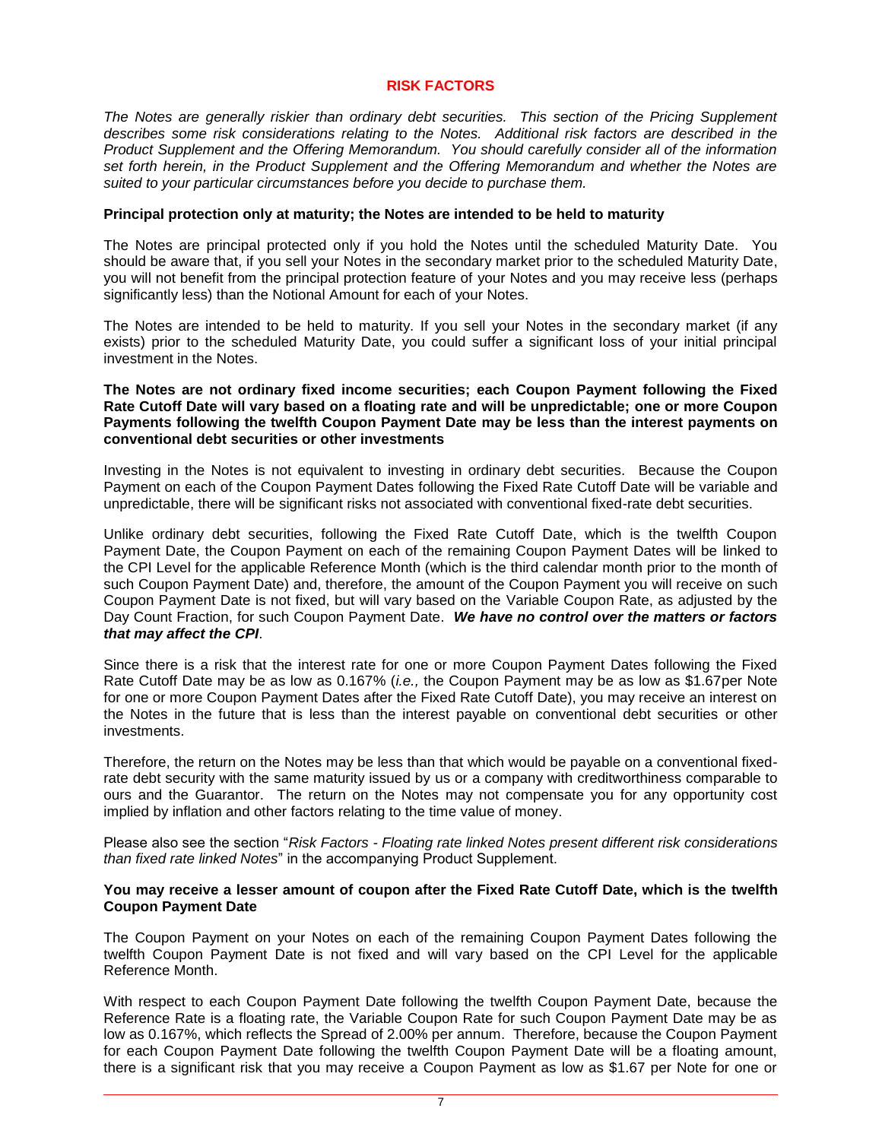#### **RISK FACTORS**

*The Notes are generally riskier than ordinary debt securities. This section of the Pricing Supplement describes some risk considerations relating to the Notes. Additional risk factors are described in the Product Supplement and the Offering Memorandum. You should carefully consider all of the information set forth herein, in the Product Supplement and the Offering Memorandum and whether the Notes are suited to your particular circumstances before you decide to purchase them.*

# **Principal protection only at maturity; the Notes are intended to be held to maturity**

The Notes are principal protected only if you hold the Notes until the scheduled Maturity Date. You should be aware that, if you sell your Notes in the secondary market prior to the scheduled Maturity Date, you will not benefit from the principal protection feature of your Notes and you may receive less (perhaps significantly less) than the Notional Amount for each of your Notes.

The Notes are intended to be held to maturity. If you sell your Notes in the secondary market (if any exists) prior to the scheduled Maturity Date, you could suffer a significant loss of your initial principal investment in the Notes.

# **The Notes are not ordinary fixed income securities; each Coupon Payment following the Fixed Rate Cutoff Date will vary based on a floating rate and will be unpredictable; one or more Coupon Payments following the twelfth Coupon Payment Date may be less than the interest payments on conventional debt securities or other investments**

Investing in the Notes is not equivalent to investing in ordinary debt securities. Because the Coupon Payment on each of the Coupon Payment Dates following the Fixed Rate Cutoff Date will be variable and unpredictable, there will be significant risks not associated with conventional fixed-rate debt securities.

Unlike ordinary debt securities, following the Fixed Rate Cutoff Date, which is the twelfth Coupon Payment Date, the Coupon Payment on each of the remaining Coupon Payment Dates will be linked to the CPI Level for the applicable Reference Month (which is the third calendar month prior to the month of such Coupon Payment Date) and, therefore, the amount of the Coupon Payment you will receive on such Coupon Payment Date is not fixed, but will vary based on the Variable Coupon Rate, as adjusted by the Day Count Fraction, for such Coupon Payment Date. *We have no control over the matters or factors that may affect the CPI*.

Since there is a risk that the interest rate for one or more Coupon Payment Dates following the Fixed Rate Cutoff Date may be as low as 0.167% (*i.e.,* the Coupon Payment may be as low as \$1.67per Note for one or more Coupon Payment Dates after the Fixed Rate Cutoff Date), you may receive an interest on the Notes in the future that is less than the interest payable on conventional debt securities or other investments.

Therefore, the return on the Notes may be less than that which would be payable on a conventional fixedrate debt security with the same maturity issued by us or a company with creditworthiness comparable to ours and the Guarantor. The return on the Notes may not compensate you for any opportunity cost implied by inflation and other factors relating to the time value of money.

Please also see the section "*Risk Factors - Floating rate linked Notes present different risk considerations than fixed rate linked Notes*" in the accompanying Product Supplement.

#### **You may receive a lesser amount of coupon after the Fixed Rate Cutoff Date, which is the twelfth Coupon Payment Date**

The Coupon Payment on your Notes on each of the remaining Coupon Payment Dates following the twelfth Coupon Payment Date is not fixed and will vary based on the CPI Level for the applicable Reference Month.

With respect to each Coupon Payment Date following the twelfth Coupon Payment Date, because the Reference Rate is a floating rate, the Variable Coupon Rate for such Coupon Payment Date may be as low as 0.167%, which reflects the Spread of 2.00% per annum. Therefore, because the Coupon Payment for each Coupon Payment Date following the twelfth Coupon Payment Date will be a floating amount, there is a significant risk that you may receive a Coupon Payment as low as \$1.67 per Note for one or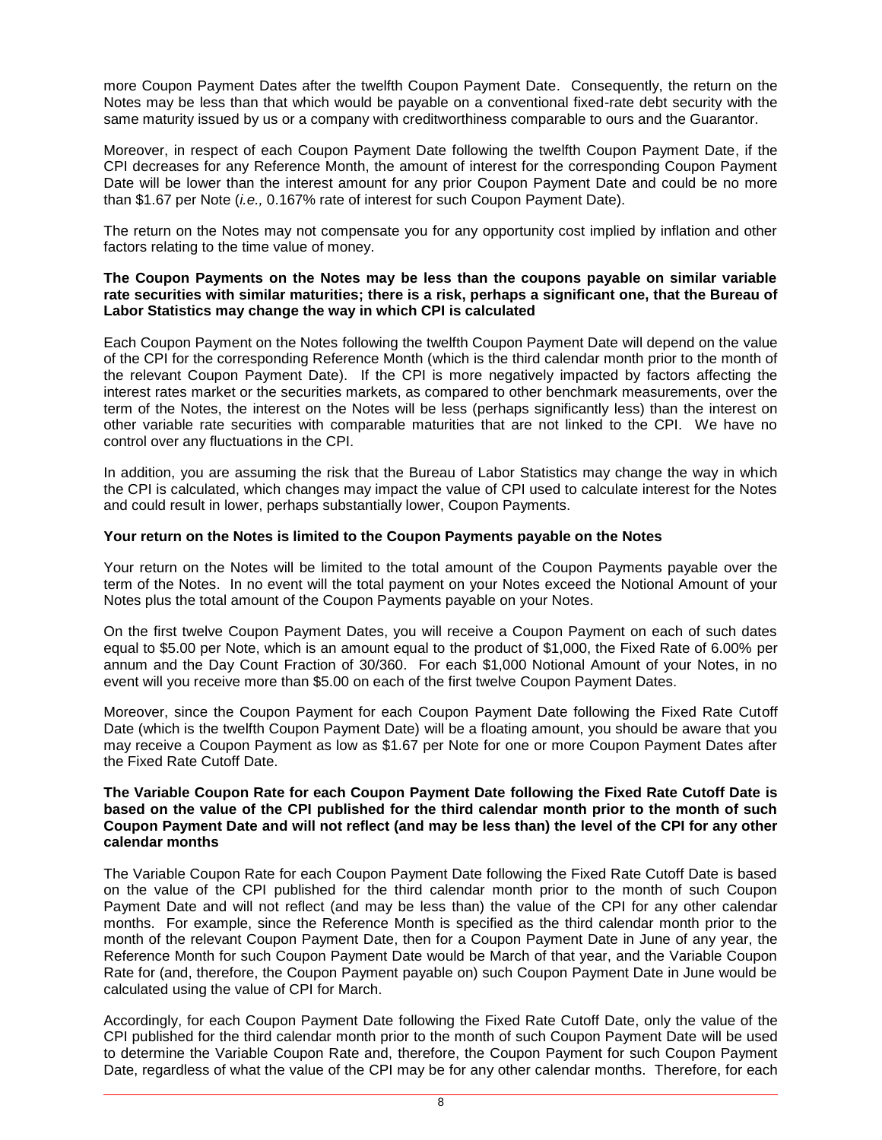more Coupon Payment Dates after the twelfth Coupon Payment Date. Consequently, the return on the Notes may be less than that which would be payable on a conventional fixed-rate debt security with the same maturity issued by us or a company with creditworthiness comparable to ours and the Guarantor.

Moreover, in respect of each Coupon Payment Date following the twelfth Coupon Payment Date, if the CPI decreases for any Reference Month, the amount of interest for the corresponding Coupon Payment Date will be lower than the interest amount for any prior Coupon Payment Date and could be no more than \$1.67 per Note (*i.e.,* 0.167% rate of interest for such Coupon Payment Date).

The return on the Notes may not compensate you for any opportunity cost implied by inflation and other factors relating to the time value of money.

# **The Coupon Payments on the Notes may be less than the coupons payable on similar variable rate securities with similar maturities; there is a risk, perhaps a significant one, that the Bureau of Labor Statistics may change the way in which CPI is calculated**

Each Coupon Payment on the Notes following the twelfth Coupon Payment Date will depend on the value of the CPI for the corresponding Reference Month (which is the third calendar month prior to the month of the relevant Coupon Payment Date). If the CPI is more negatively impacted by factors affecting the interest rates market or the securities markets, as compared to other benchmark measurements, over the term of the Notes, the interest on the Notes will be less (perhaps significantly less) than the interest on other variable rate securities with comparable maturities that are not linked to the CPI. We have no control over any fluctuations in the CPI.

In addition, you are assuming the risk that the Bureau of Labor Statistics may change the way in which the CPI is calculated, which changes may impact the value of CPI used to calculate interest for the Notes and could result in lower, perhaps substantially lower, Coupon Payments.

# **Your return on the Notes is limited to the Coupon Payments payable on the Notes**

Your return on the Notes will be limited to the total amount of the Coupon Payments payable over the term of the Notes. In no event will the total payment on your Notes exceed the Notional Amount of your Notes plus the total amount of the Coupon Payments payable on your Notes.

On the first twelve Coupon Payment Dates, you will receive a Coupon Payment on each of such dates equal to \$5.00 per Note, which is an amount equal to the product of \$1,000, the Fixed Rate of 6.00% per annum and the Day Count Fraction of 30/360. For each \$1,000 Notional Amount of your Notes, in no event will you receive more than \$5.00 on each of the first twelve Coupon Payment Dates.

Moreover, since the Coupon Payment for each Coupon Payment Date following the Fixed Rate Cutoff Date (which is the twelfth Coupon Payment Date) will be a floating amount, you should be aware that you may receive a Coupon Payment as low as \$1.67 per Note for one or more Coupon Payment Dates after the Fixed Rate Cutoff Date.

# **The Variable Coupon Rate for each Coupon Payment Date following the Fixed Rate Cutoff Date is based on the value of the CPI published for the third calendar month prior to the month of such Coupon Payment Date and will not reflect (and may be less than) the level of the CPI for any other calendar months**

The Variable Coupon Rate for each Coupon Payment Date following the Fixed Rate Cutoff Date is based on the value of the CPI published for the third calendar month prior to the month of such Coupon Payment Date and will not reflect (and may be less than) the value of the CPI for any other calendar months. For example, since the Reference Month is specified as the third calendar month prior to the month of the relevant Coupon Payment Date, then for a Coupon Payment Date in June of any year, the Reference Month for such Coupon Payment Date would be March of that year, and the Variable Coupon Rate for (and, therefore, the Coupon Payment payable on) such Coupon Payment Date in June would be calculated using the value of CPI for March.

Accordingly, for each Coupon Payment Date following the Fixed Rate Cutoff Date, only the value of the CPI published for the third calendar month prior to the month of such Coupon Payment Date will be used to determine the Variable Coupon Rate and, therefore, the Coupon Payment for such Coupon Payment Date, regardless of what the value of the CPI may be for any other calendar months. Therefore, for each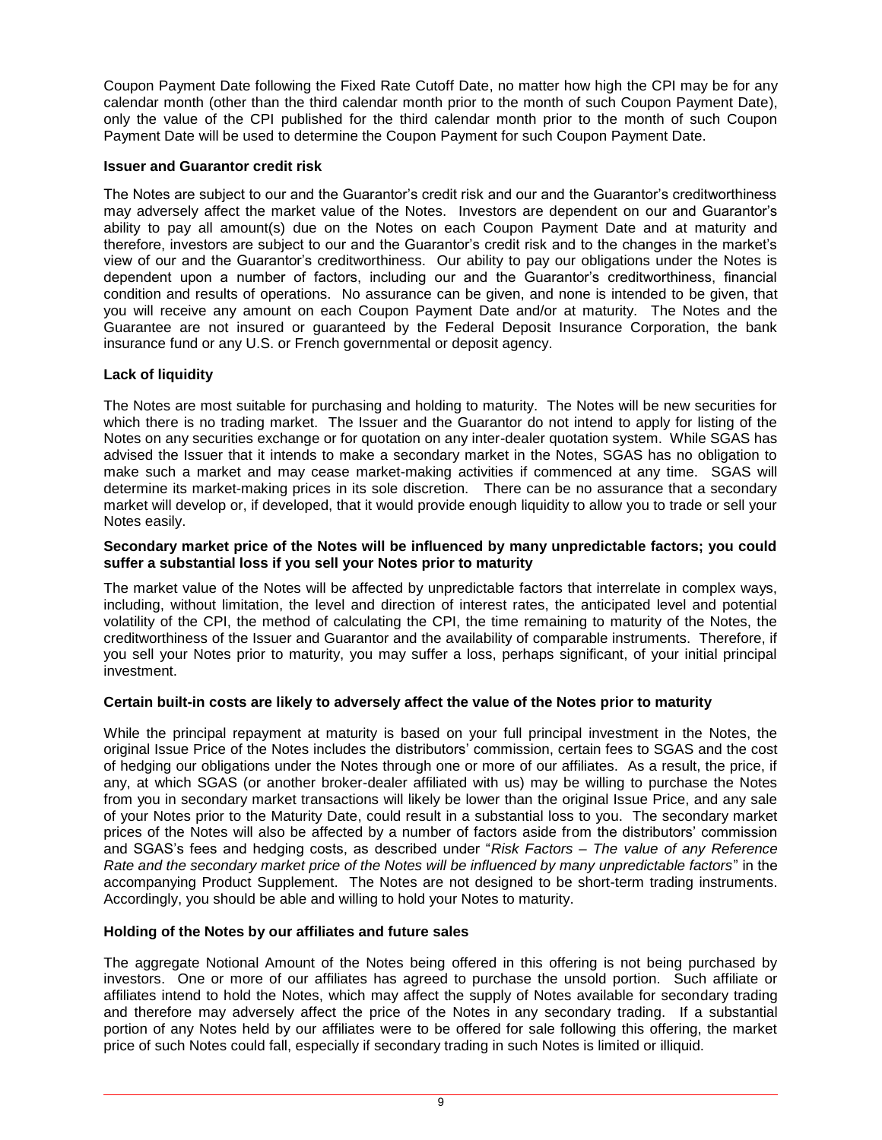Coupon Payment Date following the Fixed Rate Cutoff Date, no matter how high the CPI may be for any calendar month (other than the third calendar month prior to the month of such Coupon Payment Date), only the value of the CPI published for the third calendar month prior to the month of such Coupon Payment Date will be used to determine the Coupon Payment for such Coupon Payment Date.

# **Issuer and Guarantor credit risk**

The Notes are subject to our and the Guarantor's credit risk and our and the Guarantor's creditworthiness may adversely affect the market value of the Notes. Investors are dependent on our and Guarantor's ability to pay all amount(s) due on the Notes on each Coupon Payment Date and at maturity and therefore, investors are subject to our and the Guarantor's credit risk and to the changes in the market's view of our and the Guarantor's creditworthiness. Our ability to pay our obligations under the Notes is dependent upon a number of factors, including our and the Guarantor's creditworthiness, financial condition and results of operations. No assurance can be given, and none is intended to be given, that you will receive any amount on each Coupon Payment Date and/or at maturity. The Notes and the Guarantee are not insured or guaranteed by the Federal Deposit Insurance Corporation, the bank insurance fund or any U.S. or French governmental or deposit agency.

# **Lack of liquidity**

The Notes are most suitable for purchasing and holding to maturity. The Notes will be new securities for which there is no trading market. The Issuer and the Guarantor do not intend to apply for listing of the Notes on any securities exchange or for quotation on any inter-dealer quotation system. While SGAS has advised the Issuer that it intends to make a secondary market in the Notes, SGAS has no obligation to make such a market and may cease market-making activities if commenced at any time. SGAS will determine its market-making prices in its sole discretion. There can be no assurance that a secondary market will develop or, if developed, that it would provide enough liquidity to allow you to trade or sell your Notes easily.

# **Secondary market price of the Notes will be influenced by many unpredictable factors; you could suffer a substantial loss if you sell your Notes prior to maturity**

The market value of the Notes will be affected by unpredictable factors that interrelate in complex ways, including, without limitation, the level and direction of interest rates, the anticipated level and potential volatility of the CPI, the method of calculating the CPI, the time remaining to maturity of the Notes, the creditworthiness of the Issuer and Guarantor and the availability of comparable instruments. Therefore, if you sell your Notes prior to maturity, you may suffer a loss, perhaps significant, of your initial principal investment.

# **Certain built-in costs are likely to adversely affect the value of the Notes prior to maturity**

While the principal repayment at maturity is based on your full principal investment in the Notes, the original Issue Price of the Notes includes the distributors' commission, certain fees to SGAS and the cost of hedging our obligations under the Notes through one or more of our affiliates. As a result, the price, if any, at which SGAS (or another broker-dealer affiliated with us) may be willing to purchase the Notes from you in secondary market transactions will likely be lower than the original Issue Price, and any sale of your Notes prior to the Maturity Date, could result in a substantial loss to you. The secondary market prices of the Notes will also be affected by a number of factors aside from the distributors' commission and SGAS's fees and hedging costs, as described under "*Risk Factors – The value of any Reference Rate and the secondary market price of the Notes will be influenced by many unpredictable factors*" in the accompanying Product Supplement. The Notes are not designed to be short-term trading instruments. Accordingly, you should be able and willing to hold your Notes to maturity.

# **Holding of the Notes by our affiliates and future sales**

The aggregate Notional Amount of the Notes being offered in this offering is not being purchased by investors. One or more of our affiliates has agreed to purchase the unsold portion. Such affiliate or affiliates intend to hold the Notes, which may affect the supply of Notes available for secondary trading and therefore may adversely affect the price of the Notes in any secondary trading. If a substantial portion of any Notes held by our affiliates were to be offered for sale following this offering, the market price of such Notes could fall, especially if secondary trading in such Notes is limited or illiquid.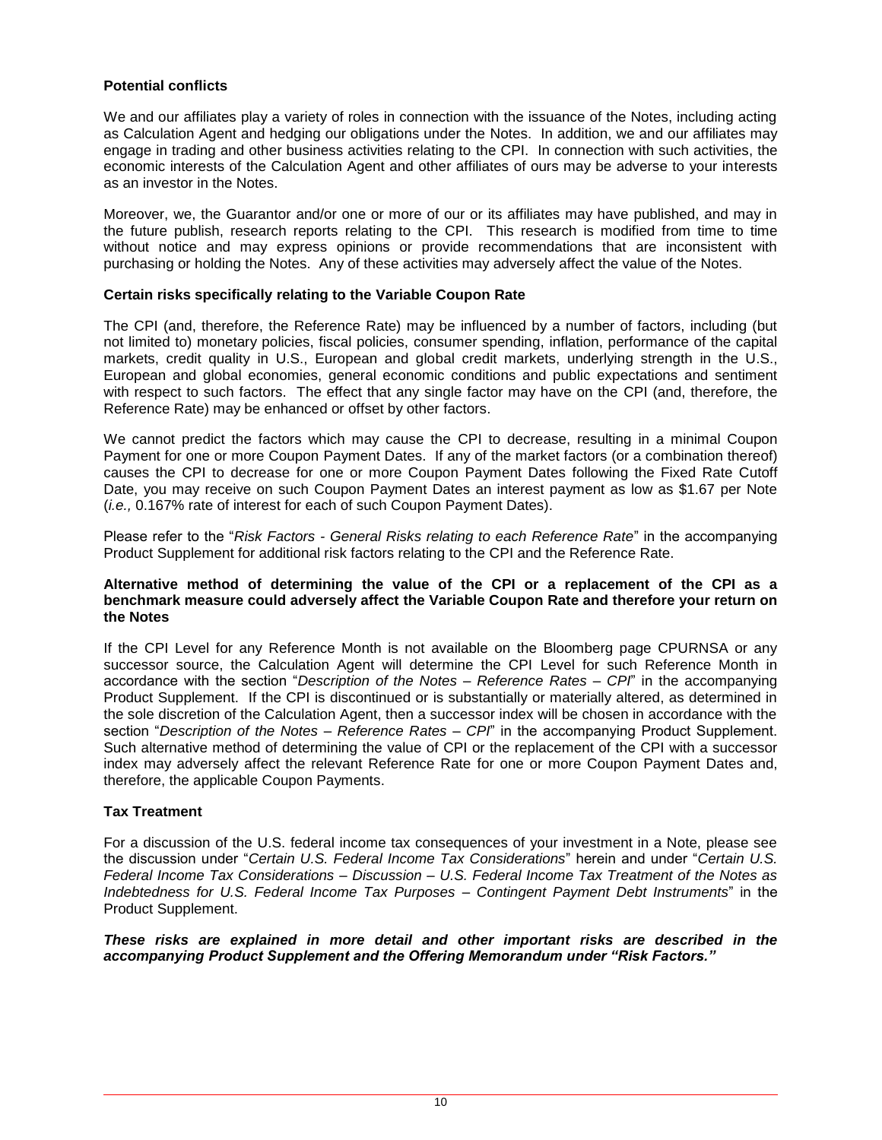# **Potential conflicts**

We and our affiliates play a variety of roles in connection with the issuance of the Notes, including acting as Calculation Agent and hedging our obligations under the Notes. In addition, we and our affiliates may engage in trading and other business activities relating to the CPI. In connection with such activities, the economic interests of the Calculation Agent and other affiliates of ours may be adverse to your interests as an investor in the Notes.

Moreover, we, the Guarantor and/or one or more of our or its affiliates may have published, and may in the future publish, research reports relating to the CPI. This research is modified from time to time without notice and may express opinions or provide recommendations that are inconsistent with purchasing or holding the Notes. Any of these activities may adversely affect the value of the Notes.

# **Certain risks specifically relating to the Variable Coupon Rate**

The CPI (and, therefore, the Reference Rate) may be influenced by a number of factors, including (but not limited to) monetary policies, fiscal policies, consumer spending, inflation, performance of the capital markets, credit quality in U.S., European and global credit markets, underlying strength in the U.S., European and global economies, general economic conditions and public expectations and sentiment with respect to such factors. The effect that any single factor may have on the CPI (and, therefore, the Reference Rate) may be enhanced or offset by other factors.

We cannot predict the factors which may cause the CPI to decrease, resulting in a minimal Coupon Payment for one or more Coupon Payment Dates. If any of the market factors (or a combination thereof) causes the CPI to decrease for one or more Coupon Payment Dates following the Fixed Rate Cutoff Date, you may receive on such Coupon Payment Dates an interest payment as low as \$1.67 per Note (*i.e.,* 0.167% rate of interest for each of such Coupon Payment Dates).

Please refer to the "*Risk Factors - General Risks relating to each Reference Rate*" in the accompanying Product Supplement for additional risk factors relating to the CPI and the Reference Rate.

# **Alternative method of determining the value of the CPI or a replacement of the CPI as a benchmark measure could adversely affect the Variable Coupon Rate and therefore your return on the Notes**

If the CPI Level for any Reference Month is not available on the Bloomberg page CPURNSA or any successor source, the Calculation Agent will determine the CPI Level for such Reference Month in accordance with the section "*Description of the Notes – Reference Rates – CPI*" in the accompanying Product Supplement. If the CPI is discontinued or is substantially or materially altered, as determined in the sole discretion of the Calculation Agent, then a successor index will be chosen in accordance with the section "*Description of the Notes – Reference Rates – CPI*" in the accompanying Product Supplement. Such alternative method of determining the value of CPI or the replacement of the CPI with a successor index may adversely affect the relevant Reference Rate for one or more Coupon Payment Dates and, therefore, the applicable Coupon Payments.

# **Tax Treatment**

For a discussion of the U.S. federal income tax consequences of your investment in a Note, please see the discussion under "*Certain U.S. Federal Income Tax Considerations*" herein and under "*Certain U.S. Federal Income Tax Considerations – Discussion – U.S. Federal Income Tax Treatment of the Notes as Indebtedness for U.S. Federal Income Tax Purposes – Contingent Payment Debt Instruments*" in the Product Supplement.

*These risks are explained in more detail and other important risks are described in the accompanying Product Supplement and the Offering Memorandum under "Risk Factors."*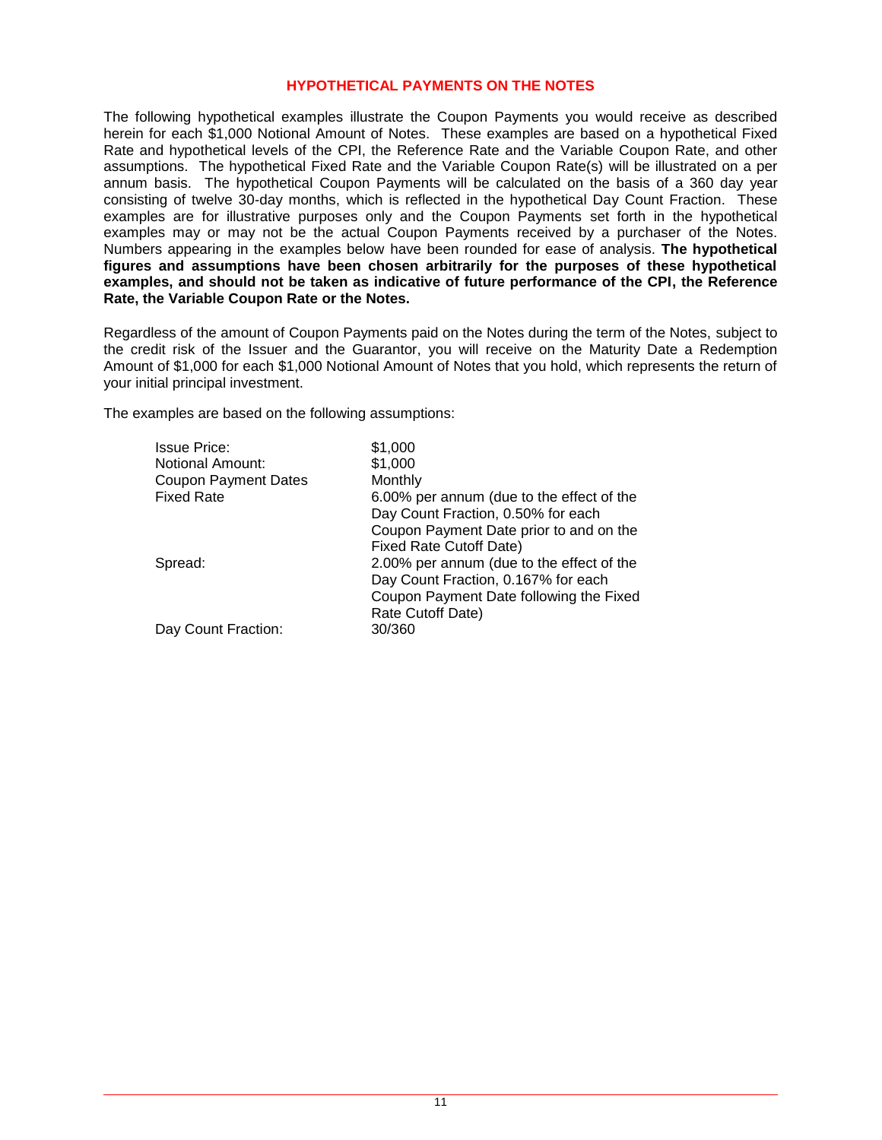# **HYPOTHETICAL PAYMENTS ON THE NOTES**

The following hypothetical examples illustrate the Coupon Payments you would receive as described herein for each \$1,000 Notional Amount of Notes. These examples are based on a hypothetical Fixed Rate and hypothetical levels of the CPI, the Reference Rate and the Variable Coupon Rate, and other assumptions. The hypothetical Fixed Rate and the Variable Coupon Rate(s) will be illustrated on a per annum basis. The hypothetical Coupon Payments will be calculated on the basis of a 360 day year consisting of twelve 30-day months, which is reflected in the hypothetical Day Count Fraction. These examples are for illustrative purposes only and the Coupon Payments set forth in the hypothetical examples may or may not be the actual Coupon Payments received by a purchaser of the Notes. Numbers appearing in the examples below have been rounded for ease of analysis. **The hypothetical figures and assumptions have been chosen arbitrarily for the purposes of these hypothetical examples, and should not be taken as indicative of future performance of the CPI, the Reference Rate, the Variable Coupon Rate or the Notes.** 

Regardless of the amount of Coupon Payments paid on the Notes during the term of the Notes, subject to the credit risk of the Issuer and the Guarantor, you will receive on the Maturity Date a Redemption Amount of \$1,000 for each \$1,000 Notional Amount of Notes that you hold, which represents the return of your initial principal investment.

The examples are based on the following assumptions:

| <b>Issue Price:</b>         | \$1,000                                   |
|-----------------------------|-------------------------------------------|
| <b>Notional Amount:</b>     | \$1,000                                   |
| <b>Coupon Payment Dates</b> | Monthly                                   |
| <b>Fixed Rate</b>           | 6.00% per annum (due to the effect of the |
|                             | Day Count Fraction, 0.50% for each        |
|                             | Coupon Payment Date prior to and on the   |
|                             | Fixed Rate Cutoff Date)                   |
| Spread:                     | 2.00% per annum (due to the effect of the |
|                             | Day Count Fraction, 0.167% for each       |
|                             | Coupon Payment Date following the Fixed   |
|                             | Rate Cutoff Date)                         |
| Day Count Fraction:         | 30/360                                    |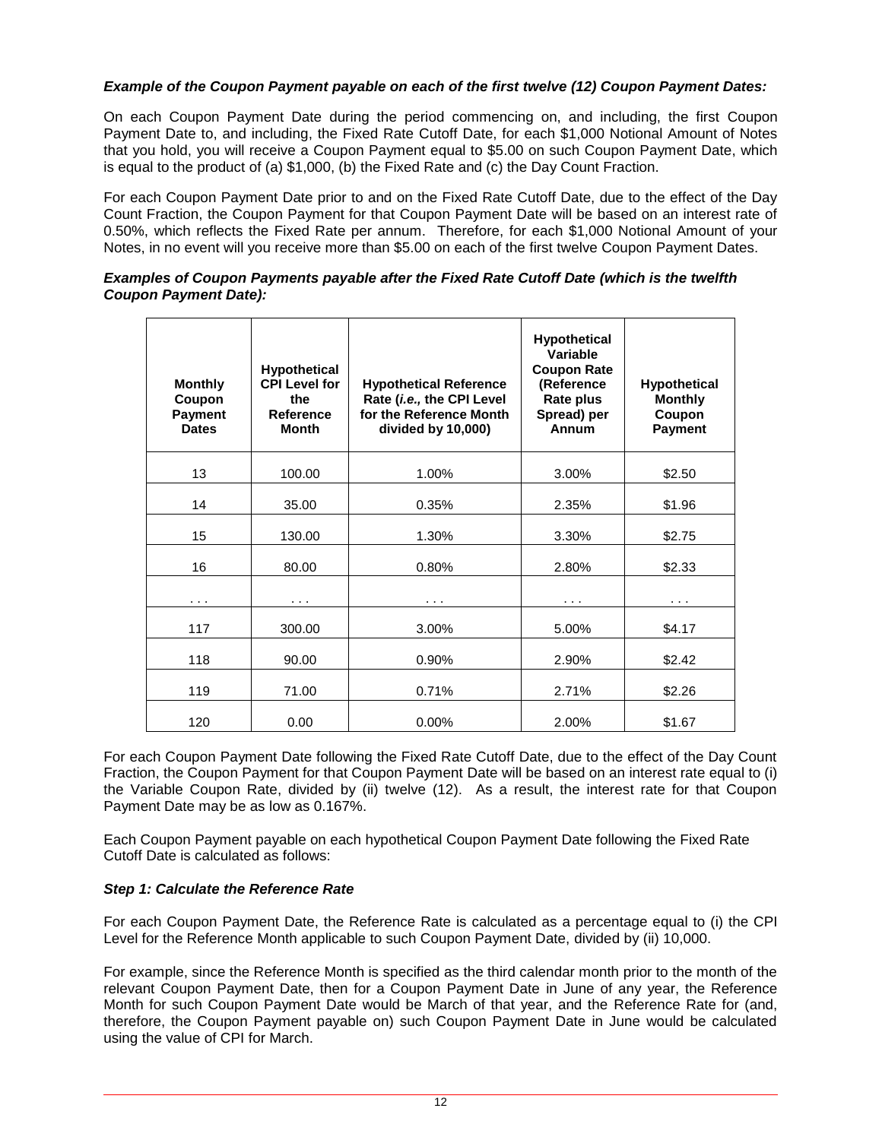# *Example of the Coupon Payment payable on each of the first twelve (12) Coupon Payment Dates:*

On each Coupon Payment Date during the period commencing on, and including, the first Coupon Payment Date to, and including, the Fixed Rate Cutoff Date, for each \$1,000 Notional Amount of Notes that you hold, you will receive a Coupon Payment equal to \$5.00 on such Coupon Payment Date, which is equal to the product of (a) \$1,000, (b) the Fixed Rate and (c) the Day Count Fraction.

For each Coupon Payment Date prior to and on the Fixed Rate Cutoff Date, due to the effect of the Day Count Fraction, the Coupon Payment for that Coupon Payment Date will be based on an interest rate of 0.50%, which reflects the Fixed Rate per annum. Therefore, for each \$1,000 Notional Amount of your Notes, in no event will you receive more than \$5.00 on each of the first twelve Coupon Payment Dates.

# *Examples of Coupon Payments payable after the Fixed Rate Cutoff Date (which is the twelfth Coupon Payment Date):*

| <b>Monthly</b><br>Coupon<br><b>Payment</b><br><b>Dates</b> | <b>Hypothetical</b><br><b>CPI Level for</b><br>the<br><b>Reference</b><br><b>Month</b> | <b>Hypothetical Reference</b><br>Rate (i.e., the CPI Level<br>for the Reference Month<br>divided by 10,000) | <b>Hypothetical</b><br>Variable<br><b>Coupon Rate</b><br>(Reference<br><b>Rate plus</b><br>Spread) per<br>Annum | <b>Hypothetical</b><br><b>Monthly</b><br>Coupon<br><b>Payment</b> |
|------------------------------------------------------------|----------------------------------------------------------------------------------------|-------------------------------------------------------------------------------------------------------------|-----------------------------------------------------------------------------------------------------------------|-------------------------------------------------------------------|
| 13                                                         | 100.00                                                                                 | 1.00%                                                                                                       | 3.00%                                                                                                           | \$2.50                                                            |
| 14                                                         | 35.00                                                                                  | 0.35%                                                                                                       | 2.35%                                                                                                           | \$1.96                                                            |
| 15                                                         | 130.00                                                                                 | 1.30%                                                                                                       | 3.30%                                                                                                           | \$2.75                                                            |
| 16                                                         | 80.00                                                                                  | 0.80%                                                                                                       | 2.80%                                                                                                           | \$2.33                                                            |
| $\cdots$                                                   | $\cdots$                                                                               | $\cdots$                                                                                                    | $\cdots$                                                                                                        | $\cdots$                                                          |
| 117                                                        | 300.00                                                                                 | 3.00%                                                                                                       | 5.00%                                                                                                           | \$4.17                                                            |
| 118                                                        | 90.00                                                                                  | 0.90%                                                                                                       | 2.90%                                                                                                           | \$2.42                                                            |
| 119                                                        | 71.00                                                                                  | 0.71%                                                                                                       | 2.71%                                                                                                           | \$2.26                                                            |
| 120                                                        | 0.00                                                                                   | $0.00\%$                                                                                                    | 2.00%                                                                                                           | \$1.67                                                            |

For each Coupon Payment Date following the Fixed Rate Cutoff Date, due to the effect of the Day Count Fraction, the Coupon Payment for that Coupon Payment Date will be based on an interest rate equal to (i) the Variable Coupon Rate, divided by (ii) twelve (12). As a result, the interest rate for that Coupon Payment Date may be as low as 0.167%.

Each Coupon Payment payable on each hypothetical Coupon Payment Date following the Fixed Rate Cutoff Date is calculated as follows:

# *Step 1: Calculate the Reference Rate*

For each Coupon Payment Date, the Reference Rate is calculated as a percentage equal to (i) the CPI Level for the Reference Month applicable to such Coupon Payment Date, divided by (ii) 10,000.

For example, since the Reference Month is specified as the third calendar month prior to the month of the relevant Coupon Payment Date, then for a Coupon Payment Date in June of any year, the Reference Month for such Coupon Payment Date would be March of that year, and the Reference Rate for (and, therefore, the Coupon Payment payable on) such Coupon Payment Date in June would be calculated using the value of CPI for March.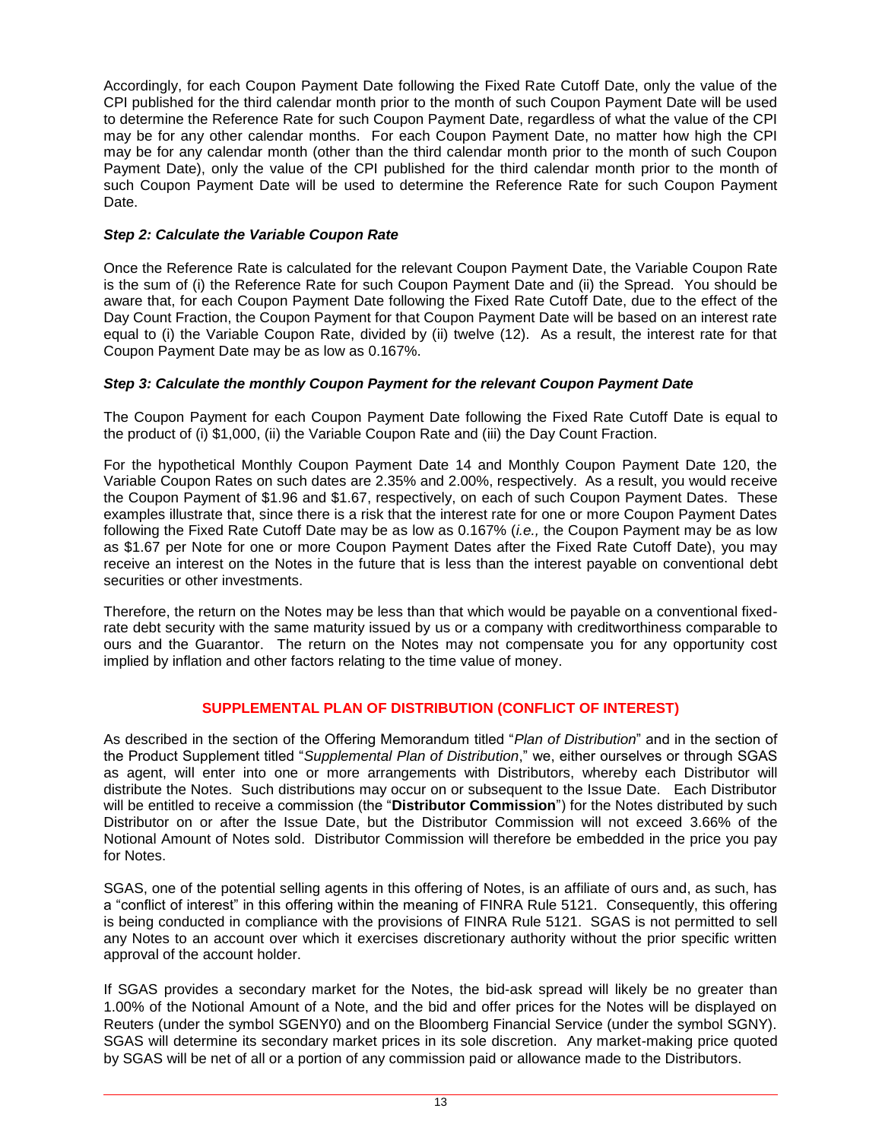Accordingly, for each Coupon Payment Date following the Fixed Rate Cutoff Date, only the value of the CPI published for the third calendar month prior to the month of such Coupon Payment Date will be used to determine the Reference Rate for such Coupon Payment Date, regardless of what the value of the CPI may be for any other calendar months. For each Coupon Payment Date, no matter how high the CPI may be for any calendar month (other than the third calendar month prior to the month of such Coupon Payment Date), only the value of the CPI published for the third calendar month prior to the month of such Coupon Payment Date will be used to determine the Reference Rate for such Coupon Payment Date.

# *Step 2: Calculate the Variable Coupon Rate*

Once the Reference Rate is calculated for the relevant Coupon Payment Date, the Variable Coupon Rate is the sum of (i) the Reference Rate for such Coupon Payment Date and (ii) the Spread. You should be aware that, for each Coupon Payment Date following the Fixed Rate Cutoff Date, due to the effect of the Day Count Fraction, the Coupon Payment for that Coupon Payment Date will be based on an interest rate equal to (i) the Variable Coupon Rate, divided by (ii) twelve (12). As a result, the interest rate for that Coupon Payment Date may be as low as 0.167%.

# *Step 3: Calculate the monthly Coupon Payment for the relevant Coupon Payment Date*

The Coupon Payment for each Coupon Payment Date following the Fixed Rate Cutoff Date is equal to the product of (i) \$1,000, (ii) the Variable Coupon Rate and (iii) the Day Count Fraction.

For the hypothetical Monthly Coupon Payment Date 14 and Monthly Coupon Payment Date 120, the Variable Coupon Rates on such dates are 2.35% and 2.00%, respectively. As a result, you would receive the Coupon Payment of \$1.96 and \$1.67, respectively, on each of such Coupon Payment Dates. These examples illustrate that, since there is a risk that the interest rate for one or more Coupon Payment Dates following the Fixed Rate Cutoff Date may be as low as 0.167% (*i.e.,* the Coupon Payment may be as low as \$1.67 per Note for one or more Coupon Payment Dates after the Fixed Rate Cutoff Date), you may receive an interest on the Notes in the future that is less than the interest payable on conventional debt securities or other investments.

Therefore, the return on the Notes may be less than that which would be payable on a conventional fixedrate debt security with the same maturity issued by us or a company with creditworthiness comparable to ours and the Guarantor. The return on the Notes may not compensate you for any opportunity cost implied by inflation and other factors relating to the time value of money.

# **SUPPLEMENTAL PLAN OF DISTRIBUTION (CONFLICT OF INTEREST)**

As described in the section of the Offering Memorandum titled "*Plan of Distribution*" and in the section of the Product Supplement titled "*Supplemental Plan of Distribution*," we, either ourselves or through SGAS as agent, will enter into one or more arrangements with Distributors, whereby each Distributor will distribute the Notes. Such distributions may occur on or subsequent to the Issue Date. Each Distributor will be entitled to receive a commission (the "**Distributor Commission**") for the Notes distributed by such Distributor on or after the Issue Date, but the Distributor Commission will not exceed 3.66% of the Notional Amount of Notes sold. Distributor Commission will therefore be embedded in the price you pay for Notes.

SGAS, one of the potential selling agents in this offering of Notes, is an affiliate of ours and, as such, has a "conflict of interest" in this offering within the meaning of FINRA Rule 5121. Consequently, this offering is being conducted in compliance with the provisions of FINRA Rule 5121. SGAS is not permitted to sell any Notes to an account over which it exercises discretionary authority without the prior specific written approval of the account holder.

If SGAS provides a secondary market for the Notes, the bid-ask spread will likely be no greater than 1.00% of the Notional Amount of a Note, and the bid and offer prices for the Notes will be displayed on Reuters (under the symbol SGENY0) and on the Bloomberg Financial Service (under the symbol SGNY). SGAS will determine its secondary market prices in its sole discretion. Any market-making price quoted by SGAS will be net of all or a portion of any commission paid or allowance made to the Distributors.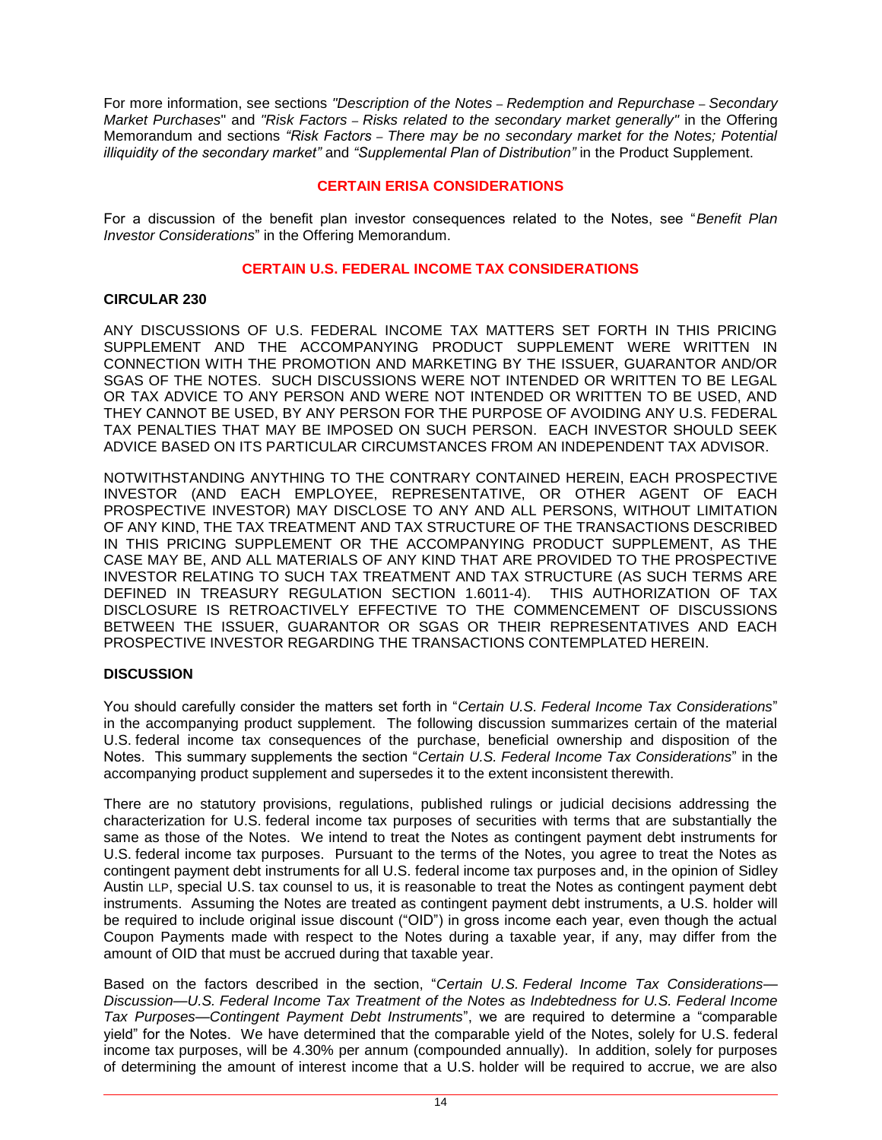For more information, see sections *"Description of the Notes – Redemption and Repurchase – Secondary Market Purchases*" and *"Risk Factors – Risks related to the secondary market generally"* in the Offering Memorandum and sections "Risk Factors - There may be no secondary market for the Notes; Potential *illiquidity of the secondary market*<sup>"</sup> and *"Supplemental Plan of Distribution*" in the Product Supplement.

# **CERTAIN ERISA CONSIDERATIONS**

For a discussion of the benefit plan investor consequences related to the Notes, see "*Benefit Plan Investor Considerations*" in the Offering Memorandum.

# **CERTAIN U.S. FEDERAL INCOME TAX CONSIDERATIONS**

# **CIRCULAR 230**

ANY DISCUSSIONS OF U.S. FEDERAL INCOME TAX MATTERS SET FORTH IN THIS PRICING SUPPLEMENT AND THE ACCOMPANYING PRODUCT SUPPLEMENT WERE WRITTEN IN CONNECTION WITH THE PROMOTION AND MARKETING BY THE ISSUER, GUARANTOR AND/OR SGAS OF THE NOTES. SUCH DISCUSSIONS WERE NOT INTENDED OR WRITTEN TO BE LEGAL OR TAX ADVICE TO ANY PERSON AND WERE NOT INTENDED OR WRITTEN TO BE USED, AND THEY CANNOT BE USED, BY ANY PERSON FOR THE PURPOSE OF AVOIDING ANY U.S. FEDERAL TAX PENALTIES THAT MAY BE IMPOSED ON SUCH PERSON. EACH INVESTOR SHOULD SEEK ADVICE BASED ON ITS PARTICULAR CIRCUMSTANCES FROM AN INDEPENDENT TAX ADVISOR.

NOTWITHSTANDING ANYTHING TO THE CONTRARY CONTAINED HEREIN, EACH PROSPECTIVE INVESTOR (AND EACH EMPLOYEE, REPRESENTATIVE, OR OTHER AGENT OF EACH PROSPECTIVE INVESTOR) MAY DISCLOSE TO ANY AND ALL PERSONS, WITHOUT LIMITATION OF ANY KIND, THE TAX TREATMENT AND TAX STRUCTURE OF THE TRANSACTIONS DESCRIBED IN THIS PRICING SUPPLEMENT OR THE ACCOMPANYING PRODUCT SUPPLEMENT, AS THE CASE MAY BE, AND ALL MATERIALS OF ANY KIND THAT ARE PROVIDED TO THE PROSPECTIVE INVESTOR RELATING TO SUCH TAX TREATMENT AND TAX STRUCTURE (AS SUCH TERMS ARE DEFINED IN TREASURY REGULATION SECTION 1.6011-4). THIS AUTHORIZATION OF TAX DISCLOSURE IS RETROACTIVELY EFFECTIVE TO THE COMMENCEMENT OF DISCUSSIONS BETWEEN THE ISSUER, GUARANTOR OR SGAS OR THEIR REPRESENTATIVES AND EACH PROSPECTIVE INVESTOR REGARDING THE TRANSACTIONS CONTEMPLATED HEREIN.

# **DISCUSSION**

You should carefully consider the matters set forth in "*Certain U.S. Federal Income Tax Considerations*" in the accompanying product supplement. The following discussion summarizes certain of the material U.S. federal income tax consequences of the purchase, beneficial ownership and disposition of the Notes. This summary supplements the section "*Certain U.S. Federal Income Tax Considerations*" in the accompanying product supplement and supersedes it to the extent inconsistent therewith.

There are no statutory provisions, regulations, published rulings or judicial decisions addressing the characterization for U.S. federal income tax purposes of securities with terms that are substantially the same as those of the Notes. We intend to treat the Notes as contingent payment debt instruments for U.S. federal income tax purposes. Pursuant to the terms of the Notes, you agree to treat the Notes as contingent payment debt instruments for all U.S. federal income tax purposes and, in the opinion of Sidley Austin LLP, special U.S. tax counsel to us, it is reasonable to treat the Notes as contingent payment debt instruments. Assuming the Notes are treated as contingent payment debt instruments, a U.S. holder will be required to include original issue discount ("OID") in gross income each year, even though the actual Coupon Payments made with respect to the Notes during a taxable year, if any, may differ from the amount of OID that must be accrued during that taxable year.

Based on the factors described in the section, "*Certain U.S. Federal Income Tax Considerations— Discussion—U.S. Federal Income Tax Treatment of the Notes as Indebtedness for U.S. Federal Income Tax Purposes—Contingent Payment Debt Instruments*", we are required to determine a "comparable yield" for the Notes. We have determined that the comparable yield of the Notes, solely for U.S. federal income tax purposes, will be 4.30% per annum (compounded annually). In addition, solely for purposes of determining the amount of interest income that a U.S. holder will be required to accrue, we are also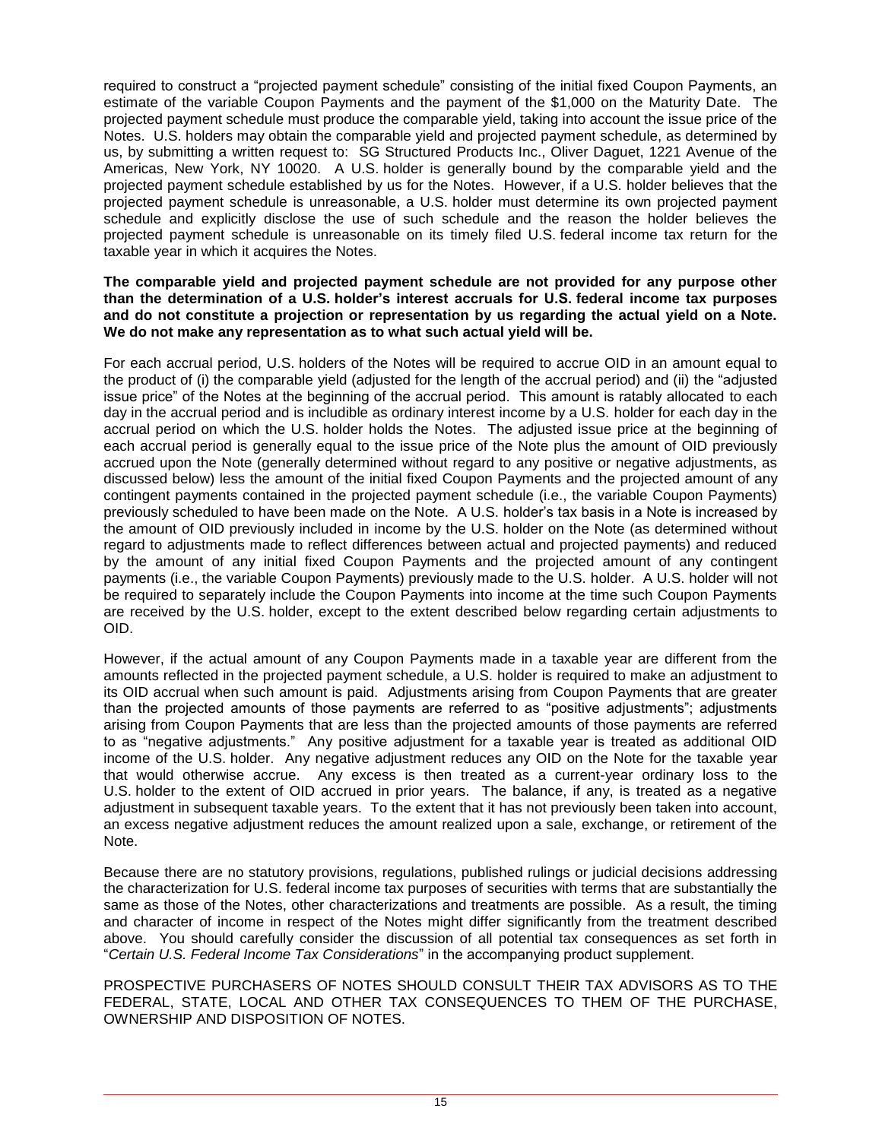required to construct a "projected payment schedule" consisting of the initial fixed Coupon Payments, an estimate of the variable Coupon Payments and the payment of the \$1,000 on the Maturity Date. The projected payment schedule must produce the comparable yield, taking into account the issue price of the Notes. U.S. holders may obtain the comparable yield and projected payment schedule, as determined by us, by submitting a written request to: SG Structured Products Inc., Oliver Daguet, 1221 Avenue of the Americas, New York, NY 10020. A U.S. holder is generally bound by the comparable yield and the projected payment schedule established by us for the Notes. However, if a U.S. holder believes that the projected payment schedule is unreasonable, a U.S. holder must determine its own projected payment schedule and explicitly disclose the use of such schedule and the reason the holder believes the projected payment schedule is unreasonable on its timely filed U.S. federal income tax return for the taxable year in which it acquires the Notes.

# **The comparable yield and projected payment schedule are not provided for any purpose other than the determination of a U.S. holder's interest accruals for U.S. federal income tax purposes and do not constitute a projection or representation by us regarding the actual yield on a Note. We do not make any representation as to what such actual yield will be.**

For each accrual period, U.S. holders of the Notes will be required to accrue OID in an amount equal to the product of (i) the comparable yield (adjusted for the length of the accrual period) and (ii) the "adjusted issue price" of the Notes at the beginning of the accrual period. This amount is ratably allocated to each day in the accrual period and is includible as ordinary interest income by a U.S. holder for each day in the accrual period on which the U.S. holder holds the Notes. The adjusted issue price at the beginning of each accrual period is generally equal to the issue price of the Note plus the amount of OID previously accrued upon the Note (generally determined without regard to any positive or negative adjustments, as discussed below) less the amount of the initial fixed Coupon Payments and the projected amount of any contingent payments contained in the projected payment schedule (i.e., the variable Coupon Payments) previously scheduled to have been made on the Note. A U.S. holder's tax basis in a Note is increased by the amount of OID previously included in income by the U.S. holder on the Note (as determined without regard to adjustments made to reflect differences between actual and projected payments) and reduced by the amount of any initial fixed Coupon Payments and the projected amount of any contingent payments (i.e., the variable Coupon Payments) previously made to the U.S. holder. A U.S. holder will not be required to separately include the Coupon Payments into income at the time such Coupon Payments are received by the U.S. holder, except to the extent described below regarding certain adjustments to OID.

However, if the actual amount of any Coupon Payments made in a taxable year are different from the amounts reflected in the projected payment schedule, a U.S. holder is required to make an adjustment to its OID accrual when such amount is paid. Adjustments arising from Coupon Payments that are greater than the projected amounts of those payments are referred to as "positive adjustments"; adjustments arising from Coupon Payments that are less than the projected amounts of those payments are referred to as "negative adjustments." Any positive adjustment for a taxable year is treated as additional OID income of the U.S. holder. Any negative adjustment reduces any OID on the Note for the taxable year that would otherwise accrue. Any excess is then treated as a current-year ordinary loss to the U.S. holder to the extent of OID accrued in prior years. The balance, if any, is treated as a negative adjustment in subsequent taxable years. To the extent that it has not previously been taken into account, an excess negative adjustment reduces the amount realized upon a sale, exchange, or retirement of the Note.

Because there are no statutory provisions, regulations, published rulings or judicial decisions addressing the characterization for U.S. federal income tax purposes of securities with terms that are substantially the same as those of the Notes, other characterizations and treatments are possible. As a result, the timing and character of income in respect of the Notes might differ significantly from the treatment described above. You should carefully consider the discussion of all potential tax consequences as set forth in "*Certain U.S. Federal Income Tax Considerations*" in the accompanying product supplement.

PROSPECTIVE PURCHASERS OF NOTES SHOULD CONSULT THEIR TAX ADVISORS AS TO THE FEDERAL, STATE, LOCAL AND OTHER TAX CONSEQUENCES TO THEM OF THE PURCHASE, OWNERSHIP AND DISPOSITION OF NOTES.